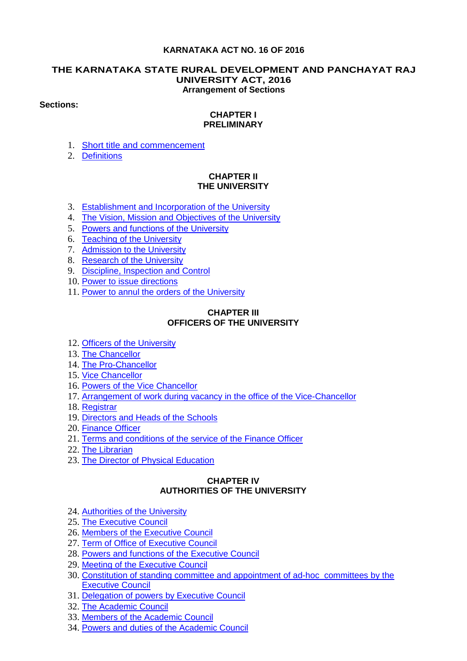## **KARNATAKA ACT NO. 16 OF 2016**

#### **THE KARNATAKA STATE RURAL DEVELOPMENT AND PANCHAYAT RAJ UNIVERSITY ACT, 2016 Arrangement of Sections**

#### **Sections:**

#### **CHAPTER I PRELIMINARY**

- 1. [Short title and commencement](#page-4-0)
- 2. [Definitions](#page-4-1)

# **CHAPTER II THE UNIVERSITY**

- 3. [Establishment and Incorporation of the University](#page-5-0)
- 4. [The Vision, Mission and Objectives of the University](#page-5-1)
- 5. [Powers and functions of the University](#page-7-0)
- 6. [Teaching of the](#page-9-0) University
- 7. [Admission to the University](#page-9-1)
- 8. [Research of the University](#page-9-2)
- 9. [Discipline, Inspection and Control](#page-9-3)
- 10. [Power to issue directions](#page-10-0)
- 11. [Power to annul the orders of the University](#page-10-1)

#### **CHAPTER III OFFICERS OF THE UNIVERSITY**

- 12. [Officers of the University](#page-10-2)
- 13. [The Chancellor](#page-10-3)
- 14. [The Pro-Chancellor](#page-10-4)
- 15. [Vice Chancellor](#page-10-5)
- 16. [Powers of the Vice Chancellor](#page-12-0)
- 17. [Arrangement of work during vacancy in the office of the Vice-Chancellor](#page-12-1)
- 18. [Registrar](#page-12-2)
- 19. [Directors and Heads of the Schools](#page-13-0)
- 20. [Finance Officer](#page-13-1)
- 21. [Terms and conditions of the service of the Finance Officer](#page-13-2)
- 22. [The Librarian](#page-13-3)
- 23. [The Director of Physical Education](#page-13-4)

# **CHAPTER IV AUTHORITIES OF THE UNIVERSITY**

- 24. [Authorities of the University](#page-14-0)
- 25. [The Executive Council](#page-14-1)
- 26. [Members of the Executive Council](#page-14-2)
- 27. [Term of Office of Executive Council](#page-14-3)
- 28. [Powers and functions of the Executive Council](#page-15-0)
- 29. [Meeting of the Executive Council](#page-16-0)
- 30. [Constitution of standing committee and appointment of ad-hoc committees by the](#page-16-1)  [Executive Council](#page-16-1)
- 31. [Delegation of powers by Executive Council](#page-16-2)
- 32. [The Academic Council](#page-16-3)
- 33. [Members of the Academic Council](#page-16-4)
- 34. [Powers and duties of the Academic Council](#page-17-0)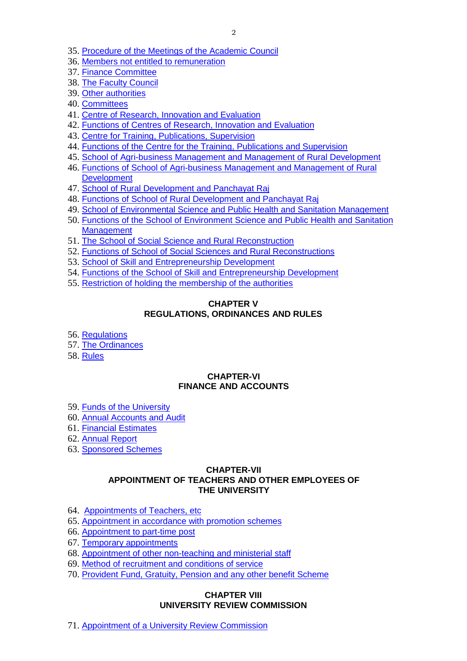- 35. [Procedure of the Meetings of the Academic Council](#page-18-0)
- 36. [Members not entitled to remuneration](#page-18-1)
- 37. [Finance Committee](#page-18-2)
- 38. [The Faculty Council](#page-19-0)
- 39. [Other authorities](#page-19-1)
- 40. [Committees](#page-19-2)
- 41. [Centre of Research, Innovation and Evaluation](#page-19-3)
- 42. [Functions of Centres of Research, Innovation and Evaluation](#page-20-0)
- 43. [Centre for Training, Publications, Supervision](#page-20-1)
- 44. [Functions of the Centre for the Training, Publications and Supervision](#page-21-0)
- 45. [School of Agri-business Management and Management of Rural Development](#page-21-1)
- 46. [Functions of School of Agri-business Management and Management of Rural](#page-22-0)  **[Development](#page-22-0)**
- 47. [School of Rural Development and Panchayat Raj](#page-22-1)
- 48. [Functions of School of Rural Development and Panchayat Raj](#page-23-0)
- 49. [School of Environmental Science and Public Health and Sanitation Management](#page-23-1)
- 50. [Functions of the School of Environment Science and Public Health and Sanitation](#page-23-2)  **[Management](#page-23-2)**
- 51. [The School of Social Science and Rural Reconstruction](#page-24-0)
- 52. [Functions of School of Social Sciences and Rural Reconstructions](#page-24-1)
- 53. [School of Skill and Entrepreneurship Development](#page-24-2)
- 54. [Functions of the School of Skill and Entrepreneurship Development](#page-25-0)
- 55. [Restriction of holding the membership of the authorities](#page-26-0)

# **CHAPTER V REGULATIONS, ORDINANCES AND RULES**

- 56. [Regulations](#page-26-1)
- 57. [The Ordinances](#page-27-0)
- 58. [Rules](#page-27-1)

# **CHAPTER-VI FINANCE AND ACCOUNTS**

- 59. [Funds of the University](#page-28-0)
- 60. [Annual Accounts and Audit](#page-28-1)
- 61. [Financial Estimates](#page-28-2)
- 62. [Annual Report](#page-28-3)
- 63. [Sponsored Schemes](#page-28-4)

## **CHAPTER-VII APPOINTMENT OF TEACHERS AND OTHER EMPLOYEES OF THE UNIVERSITY**

- 64. [Appointments of Teachers, etc](#page-29-0)
- 65. [Appointment in accordance with promotion schemes](#page-29-1)
- 66. [Appointment to part-time post](#page-29-2)
- 67. [Temporary appointments](#page-30-0)
- 68. [Appointment of other non-teaching and ministerial staff](#page-30-1)
- 69. [Method of recruitment and conditions of service](#page-30-2)
- 70. [Provident Fund, Gratuity, Pension and any other benefit Scheme](#page-30-3)

# **CHAPTER VIII UNIVERSITY REVIEW COMMISSION**

71. [Appointment of a University Review Commission](#page-31-0)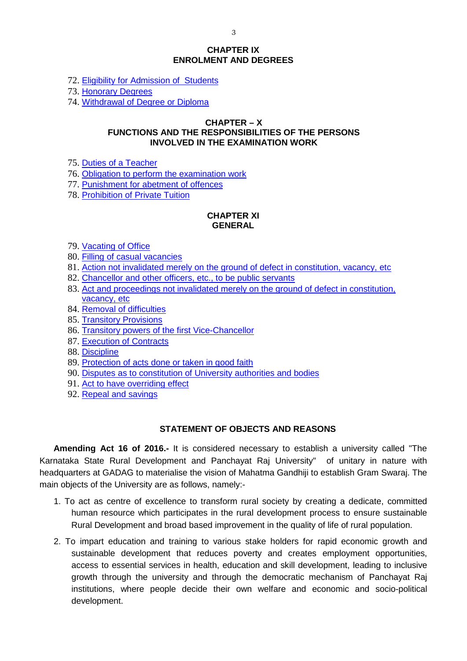#### **CHAPTER IX ENROLMENT AND DEGREES**

72. [Eligibility for Admission of Students](#page-31-1)

73. [Honorary Degrees](#page-31-2)

74. [Withdrawal of Degree or Diploma](#page-31-3)

#### **CHAPTER – X FUNCTIONS AND THE RESPONSIBILITIES OF THE PERSONS INVOLVED IN THE EXAMINATION WORK**

- 75. [Duties of a Teacher](#page-31-4)
- 76. [Obligation to perform the examination work](#page-31-5)
- 77. [Punishment for abetment of offences](#page-32-0)
- 78. [Prohibition of Private Tuition](#page-32-1)

#### **CHAPTER XI GENERAL**

- 79. [Vacating of Office](#page-32-2)
- 80. [Filling of casual vacancies](#page-32-3)
- 81. [Action not invalidated merely on the ground of defect in constitution, vacancy, etc](#page-32-4)
- 82. [Chancellor and other officers, etc., to be public servants](#page-32-5)
- 83. [Act and proceedings not invalidated merely on the ground of defect in constitution,](#page-32-6)  [vacancy, etc](#page-32-6)
- 84. [Removal of difficulties](#page-32-7)
- 85. [Transitory Provisions](#page-33-0)
- 86. [Transitory powers of the first Vice-Chancellor](#page-33-1)
- 87. [Execution of Contracts](#page-33-2)
- 88. [Discipline](#page-33-3)
- 89. [Protection of acts done or taken in good faith](#page-33-4)
- 90. [Disputes as to constitution of University authorities and bodies](#page-33-5)
- 91. [Act to have overriding effect](#page-33-6)
- 92. [Repeal and savings](#page-33-7)

# **STATEMENT OF OBJECTS AND REASONS**

**Amending Act 16 of 2016.-** It is considered necessary to establish a university called "The Karnataka State Rural Development and Panchayat Raj University" of unitary in nature with headquarters at GADAG to materialise the vision of Mahatma Gandhiji to establish Gram Swaraj. The main objects of the University are as follows, namely:-

- 1. To act as centre of excellence to transform rural society by creating a dedicate, committed human resource which participates in the rural development process to ensure sustainable Rural Development and broad based improvement in the quality of life of rural population.
- 2. To impart education and training to various stake holders for rapid economic growth and sustainable development that reduces poverty and creates employment opportunities, access to essential services in health, education and skill development, leading to inclusive growth through the university and through the democratic mechanism of Panchayat Raj institutions, where people decide their own welfare and economic and socio-political development.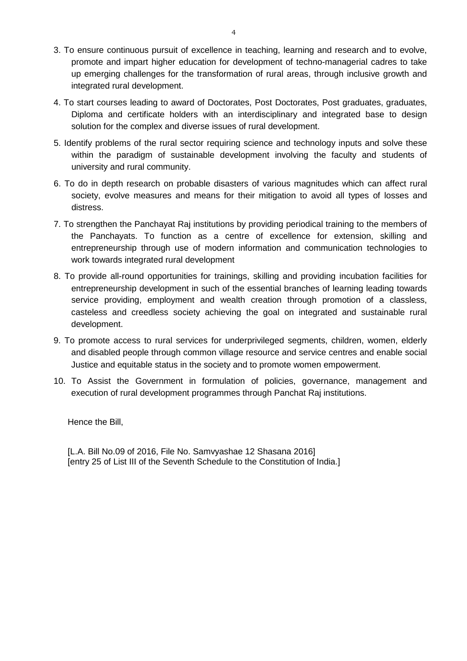- 3. To ensure continuous pursuit of excellence in teaching, learning and research and to evolve, promote and impart higher education for development of techno-managerial cadres to take up emerging challenges for the transformation of rural areas, through inclusive growth and integrated rural development.
- 4. To start courses leading to award of Doctorates, Post Doctorates, Post graduates, graduates, Diploma and certificate holders with an interdisciplinary and integrated base to design solution for the complex and diverse issues of rural development.
- 5. Identify problems of the rural sector requiring science and technology inputs and solve these within the paradigm of sustainable development involving the faculty and students of university and rural community.
- 6. To do in depth research on probable disasters of various magnitudes which can affect rural society, evolve measures and means for their mitigation to avoid all types of losses and distress.
- 7. To strengthen the Panchayat Raj institutions by providing periodical training to the members of the Panchayats. To function as a centre of excellence for extension, skilling and entrepreneurship through use of modern information and communication technologies to work towards integrated rural development
- 8. To provide all-round opportunities for trainings, skilling and providing incubation facilities for entrepreneurship development in such of the essential branches of learning leading towards service providing, employment and wealth creation through promotion of a classless, casteless and creedless society achieving the goal on integrated and sustainable rural development.
- 9. To promote access to rural services for underprivileged segments, children, women, elderly and disabled people through common village resource and service centres and enable social Justice and equitable status in the society and to promote women empowerment.
- 10. To Assist the Government in formulation of policies, governance, management and execution of rural development programmes through Panchat Raj institutions.

Hence the Bill,

[L.A. Bill No.09 of 2016, File No. Samvyashae 12 Shasana 2016] [entry 25 of List III of the Seventh Schedule to the Constitution of India.]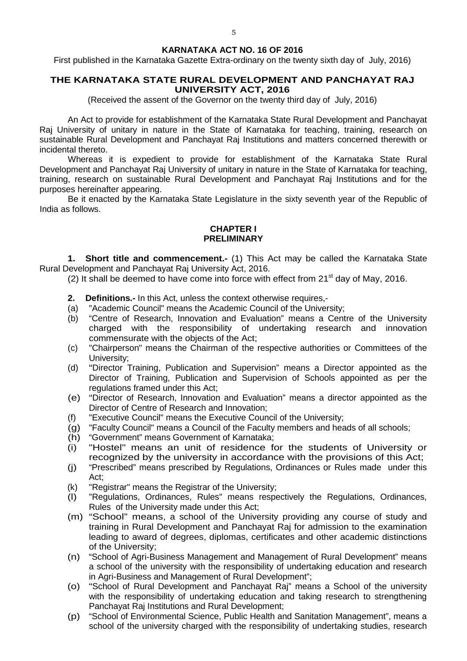#### **KARNATAKA ACT NO. 16 OF 2016**

First published in the Karnataka Gazette Extra-ordinary on the twenty sixth day of July, 2016)

## **THE KARNATAKA STATE RURAL DEVELOPMENT AND PANCHAYAT RAJ UNIVERSITY ACT, 2016**

(Received the assent of the Governor on the twenty third day of July, 2016)

An Act to provide for establishment of the Karnataka State Rural Development and Panchayat Raj University of unitary in nature in the State of Karnataka for teaching, training, research on sustainable Rural Development and Panchayat Raj Institutions and matters concerned therewith or incidental thereto.

Whereas it is expedient to provide for establishment of the Karnataka State Rural Development and Panchayat Raj University of unitary in nature in the State of Karnataka for teaching, training, research on sustainable Rural Development and Panchayat Raj Institutions and for the purposes hereinafter appearing.

Be it enacted by the Karnataka State Legislature in the sixty seventh year of the Republic of India as follows.

# **CHAPTER I PRELIMINARY**

<span id="page-4-0"></span>**1. Short title and commencement.-** (1) This Act may be called the Karnataka State Rural Development and Panchayat Raj University Act, 2016.

(2) It shall be deemed to have come into force with effect from  $21<sup>st</sup>$  day of May, 2016.

- <span id="page-4-1"></span>**2. Definitions.-** In this Act, unless the context otherwise requires,-
- (a) "Academic Council" means the Academic Council of the University;
- (b) "Centre of Research, Innovation and Evaluation" means a Centre of the University charged with the responsibility of undertaking research and innovation commensurate with the objects of the Act;
- (c) "Chairperson" means the Chairman of the respective authorities or Committees of the University;
- (d) "Director Training, Publication and Supervision" means a Director appointed as the Director of Training, Publication and Supervision of Schools appointed as per the regulations framed under this Act;
- (e) "Director of Research, Innovation and Evaluation" means a director appointed as the Director of Centre of Research and Innovation;
- (f) "Executive Council" means the Executive Council of the University;<br>(g) "Faculty Council" means a Council of the Faculty members and hea
- "Faculty Council" means a Council of the Faculty members and heads of all schools;
- (h) "Government" means Government of Karnataka;
- (i) "Hostel" means an unit of residence for the students of University or recognized by the university in accordance with the provisions of this Act;
- (j) "Prescribed" means prescribed by Regulations, Ordinances or Rules made under this Act;
- (k) "Registrar" means the Registrar of the University;
- (l) "Regulations, Ordinances, Rules" means respectively the Regulations, Ordinances, Rules of the University made under this Act;
- (m) "School" means, a school of the University providing any course of study and training in Rural Development and Panchayat Raj for admission to the examination leading to award of degrees, diplomas, certificates and other academic distinctions of the University;
- (n) "School of Agri-Business Management and Management of Rural Development" means a school of the university with the responsibility of undertaking education and research in Agri-Business and Management of Rural Development";
- (o) "School of Rural Development and Panchayat Raj" means a School of the university with the responsibility of undertaking education and taking research to strengthening Panchayat Raj Institutions and Rural Development;
- (p) "School of Environmental Science, Public Health and Sanitation Management", means a school of the university charged with the responsibility of undertaking studies, research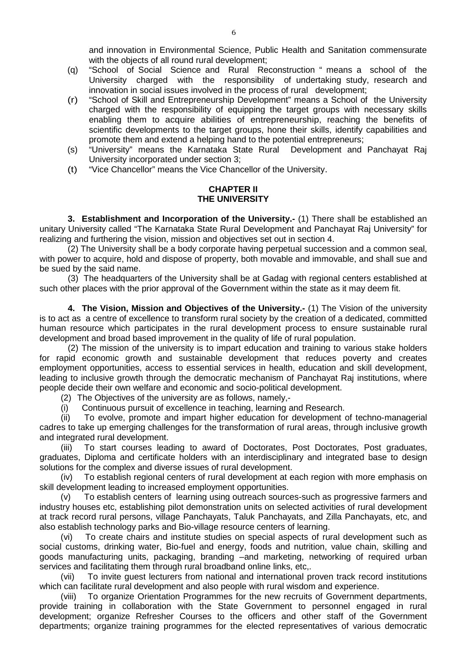- (q) "School of Social Science and Rural Reconstruction " means a school of the University charged with the responsibility of undertaking study, research and innovation in social issues involved in the process of rural development;
- (r) "School of Skill and Entrepreneurship Development" means a School of the University charged with the responsibility of equipping the target groups with necessary skills enabling them to acquire abilities of entrepreneurship, reaching the benefits of scientific developments to the target groups, hone their skills, identify capabilities and promote them and extend a helping hand to the potential entrepreneurs;
- (s) "University" means the Karnataka State Rural Development and Panchayat Raj University incorporated under section 3;
- (t) "Vice Chancellor" means the Vice Chancellor of the University.

## **CHAPTER II THE UNIVERSITY**

<span id="page-5-0"></span>**3. Establishment and Incorporation of the University.-** (1) There shall be established an unitary University called "The Karnataka State Rural Development and Panchayat Raj University" for realizing and furthering the vision, mission and objectives set out in section 4.

(2) The University shall be a body corporate having perpetual succession and a common seal, with power to acquire, hold and dispose of property, both movable and immovable, and shall sue and be sued by the said name.

(3) The headquarters of the University shall be at Gadag with regional centers established at such other places with the prior approval of the Government within the state as it may deem fit.

<span id="page-5-1"></span>**4. The Vision, Mission and Objectives of the University.-** (1) The Vision of the university is to act as a centre of excellence to transform rural society by the creation of a dedicated, committed human resource which participates in the rural development process to ensure sustainable rural development and broad based improvement in the quality of life of rural population.

(2) The mission of the university is to impart education and training to various stake holders for rapid economic growth and sustainable development that reduces poverty and creates employment opportunities, access to essential services in health, education and skill development, leading to inclusive growth through the democratic mechanism of Panchayat Raj institutions, where people decide their own welfare and economic and socio-political development.

(2) The Objectives of the university are as follows, namely,-

(i) Continuous pursuit of excellence in teaching, learning and Research.

(ii) To evolve, promote and impart higher education for development of techno-managerial cadres to take up emerging challenges for the transformation of rural areas, through inclusive growth and integrated rural development.

(iii) To start courses leading to award of Doctorates, Post Doctorates, Post graduates, graduates, Diploma and certificate holders with an interdisciplinary and integrated base to design solutions for the complex and diverse issues of rural development.

(iv) To establish regional centers of rural development at each region with more emphasis on skill development leading to increased employment opportunities.

(v) To establish centers of learning using outreach sources-such as progressive farmers and industry houses etc, establishing pilot demonstration units on selected activities of rural development at track record rural persons, village Panchayats, Taluk Panchayats, and Zilla Panchayats, etc, and also establish technology parks and Bio-village resource centers of learning.

(vi) To create chairs and institute studies on special aspects of rural development such as social customs, drinking water, Bio-fuel and energy, foods and nutrition, value chain, skilling and goods manufacturing units, packaging, branding –and marketing, networking of required urban services and facilitating them through rural broadband online links, etc,.

(vii) To invite guest lecturers from national and international proven track record institutions which can facilitate rural development and also people with rural wisdom and experience.

(viii) To organize Orientation Programmes for the new recruits of Government departments, provide training in collaboration with the State Government to personnel engaged in rural development; organize Refresher Courses to the officers and other staff of the Government departments; organize training programmes for the elected representatives of various democratic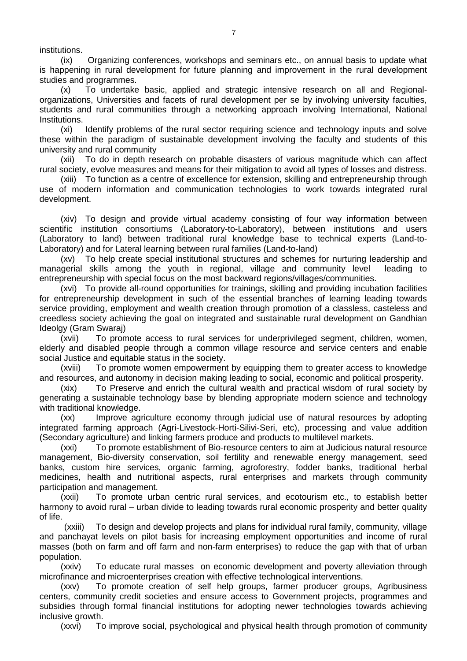institutions.

(ix) Organizing conferences, workshops and seminars etc., on annual basis to update what is happening in rural development for future planning and improvement in the rural development studies and programmes.

(x) To undertake basic, applied and strategic intensive research on all and Regionalorganizations, Universities and facets of rural development per se by involving university faculties, students and rural communities through a networking approach involving International, National Institutions.

(xi) Identify problems of the rural sector requiring science and technology inputs and solve these within the paradigm of sustainable development involving the faculty and students of this university and rural community

(xii) To do in depth research on probable disasters of various magnitude which can affect rural society, evolve measures and means for their mitigation to avoid all types of losses and distress.

(xiii) To function as a centre of excellence for extension, skilling and entrepreneurship through use of modern information and communication technologies to work towards integrated rural development.

(xiv) To design and provide virtual academy consisting of four way information between scientific institution consortiums (Laboratory-to-Laboratory), between institutions and users (Laboratory to land) between traditional rural knowledge base to technical experts (Land-to-Laboratory) and for Lateral learning between rural families (Land-to-land)

(xv) To help create special institutional structures and schemes for nurturing leadership and managerial skills among the youth in regional, village and community level leading to entrepreneurship with special focus on the most backward regions/villages/communities.

(xvi) To provide all-round opportunities for trainings, skilling and providing incubation facilities for entrepreneurship development in such of the essential branches of learning leading towards service providing, employment and wealth creation through promotion of a classless, casteless and creedless society achieving the goal on integrated and sustainable rural development on Gandhian Ideolgy (Gram Swaraj)

(xvii) To promote access to rural services for underprivileged segment, children, women, elderly and disabled people through a common village resource and service centers and enable social Justice and equitable status in the society.

(xviii) To promote women empowerment by equipping them to greater access to knowledge and resources, and autonomy in decision making leading to social, economic and political prosperity.

(xix) To Preserve and enrich the cultural wealth and practical wisdom of rural society by generating a sustainable technology base by blending appropriate modern science and technology with traditional knowledge.

(xx) Improve agriculture economy through judicial use of natural resources by adopting integrated farming approach (Agri-Livestock-Horti-Silivi-Seri, etc), processing and value addition (Secondary agriculture) and linking farmers produce and products to multilevel markets.

(xxi) To promote establishment of Bio-resource centers to aim at Judicious natural resource management, Bio-diversity conservation, soil fertility and renewable energy management, seed banks, custom hire services, organic farming, agroforestry, fodder banks, traditional herbal medicines, health and nutritional aspects, rural enterprises and markets through community participation and management.

(xxii) To promote urban centric rural services, and ecotourism etc., to establish better harmony to avoid rural – urban divide to leading towards rural economic prosperity and better quality of life.

(xxiii) To design and develop projects and plans for individual rural family, community, village and panchayat levels on pilot basis for increasing employment opportunities and income of rural masses (both on farm and off farm and non-farm enterprises) to reduce the gap with that of urban population.

(xxiv) To educate rural masses on economic development and poverty alleviation through microfinance and microenterprises creation with effective technological interventions.

(xxv) To promote creation of self help groups, farmer producer groups, Agribusiness centers, community credit societies and ensure access to Government projects, programmes and subsidies through formal financial institutions for adopting newer technologies towards achieving inclusive growth.

(xxvi) To improve social, psychological and physical health through promotion of community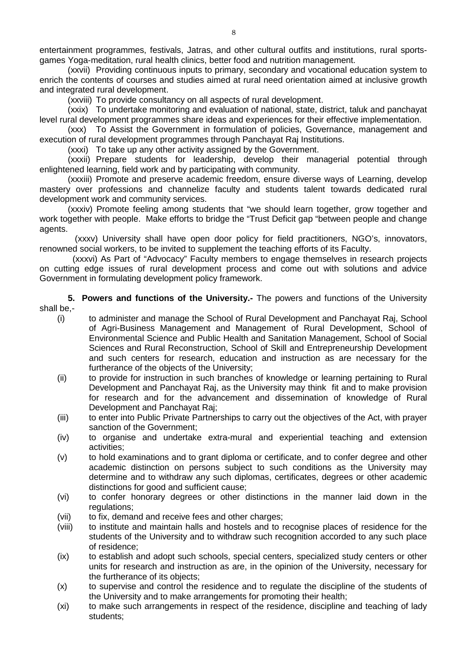entertainment programmes, festivals, Jatras, and other cultural outfits and institutions, rural sportsgames Yoga-meditation, rural health clinics, better food and nutrition management.

(xxvii) Providing continuous inputs to primary, secondary and vocational education system to enrich the contents of courses and studies aimed at rural need orientation aimed at inclusive growth and integrated rural development.

(xxviii) To provide consultancy on all aspects of rural development.

(xxix) To undertake monitoring and evaluation of national, state, district, taluk and panchayat level rural development programmes share ideas and experiences for their effective implementation.

(xxx) To Assist the Government in formulation of policies, Governance, management and execution of rural development programmes through Panchayat Raj Institutions.

(xxxi) To take up any other activity assigned by the Government.

(xxxii) Prepare students for leadership, develop their managerial potential through enlightened learning, field work and by participating with community.

(xxxiii) Promote and preserve academic freedom, ensure diverse ways of Learning, develop mastery over professions and channelize faculty and students talent towards dedicated rural development work and community services.

(xxxiv) Promote feeling among students that "we should learn together, grow together and work together with people. Make efforts to bridge the "Trust Deficit gap "between people and change agents.

 (xxxv) University shall have open door policy for field practitioners, NGO's, innovators, renowned social workers, to be invited to supplement the teaching efforts of its Faculty.

 (xxxvi) As Part of "Advocacy" Faculty members to engage themselves in research projects on cutting edge issues of rural development process and come out with solutions and advice Government in formulating development policy framework.

<span id="page-7-0"></span>**5. Powers and functions of the University.-** The powers and functions of the University shall be,-

- (i) to administer and manage the School of Rural Development and Panchayat Raj, School of Agri-Business Management and Management of Rural Development, School of Environmental Science and Public Health and Sanitation Management, School of Social Sciences and Rural Reconstruction, School of Skill and Entrepreneurship Development and such centers for research, education and instruction as are necessary for the furtherance of the objects of the University;
- (ii) to provide for instruction in such branches of knowledge or learning pertaining to Rural Development and Panchayat Raj, as the University may think fit and to make provision for research and for the advancement and dissemination of knowledge of Rural Development and Panchayat Raj;
- (iii) to enter into Public Private Partnerships to carry out the objectives of the Act, with prayer sanction of the Government;
- (iv) to organise and undertake extra-mural and experiential teaching and extension activities;
- (v) to hold examinations and to grant diploma or certificate, and to confer degree and other academic distinction on persons subject to such conditions as the University may determine and to withdraw any such diplomas, certificates, degrees or other academic distinctions for good and sufficient cause;
- (vi) to confer honorary degrees or other distinctions in the manner laid down in the regulations:
- (vii) to fix, demand and receive fees and other charges;
- (viii) to institute and maintain halls and hostels and to recognise places of residence for the students of the University and to withdraw such recognition accorded to any such place of residence;
- (ix) to establish and adopt such schools, special centers, specialized study centers or other units for research and instruction as are, in the opinion of the University, necessary for the furtherance of its objects;
- (x) to supervise and control the residence and to regulate the discipline of the students of the University and to make arrangements for promoting their health;
- (xi) to make such arrangements in respect of the residence, discipline and teaching of lady students;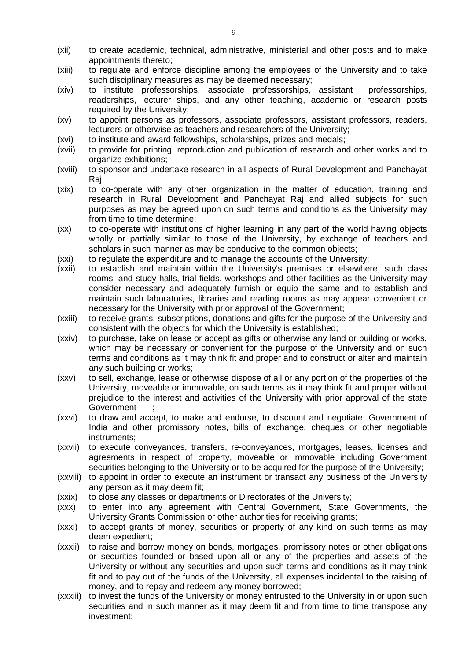- (xii) to create academic, technical, administrative, ministerial and other posts and to make appointments thereto;
- (xiii) to regulate and enforce discipline among the employees of the University and to take such disciplinary measures as may be deemed necessary;
- (xiv) to institute professorships, associate professorships, assistant professorships, readerships, lecturer ships, and any other teaching, academic or research posts required by the University:
- (xv) to appoint persons as professors, associate professors, assistant professors, readers, lecturers or otherwise as teachers and researchers of the University;
- (xvi) to institute and award fellowships, scholarships, prizes and medals;
- (xvii) to provide for printing, reproduction and publication of research and other works and to organize exhibitions;
- (xviii) to sponsor and undertake research in all aspects of Rural Development and Panchayat Raj;
- (xix) to co-operate with any other organization in the matter of education, training and research in Rural Development and Panchayat Raj and allied subjects for such purposes as may be agreed upon on such terms and conditions as the University may from time to time determine;
- (xx) to co-operate with institutions of higher learning in any part of the world having objects wholly or partially similar to those of the University, by exchange of teachers and scholars in such manner as may be conducive to the common objects;
- (xxi) to regulate the expenditure and to manage the accounts of the University;
- (xxii) to establish and maintain within the University's premises or elsewhere, such class rooms, and study halls, trial fields, workshops and other facilities as the University may consider necessary and adequately furnish or equip the same and to establish and maintain such laboratories, libraries and reading rooms as may appear convenient or necessary for the University with prior approval of the Government;
- (xxiii) to receive grants, subscriptions, donations and gifts for the purpose of the University and consistent with the objects for which the University is established;
- (xxiv) to purchase, take on lease or accept as gifts or otherwise any land or building or works, which may be necessary or convenient for the purpose of the University and on such terms and conditions as it may think fit and proper and to construct or alter and maintain any such building or works;
- (xxv) to sell, exchange, lease or otherwise dispose of all or any portion of the properties of the University, moveable or immovable, on such terms as it may think fit and proper without prejudice to the interest and activities of the University with prior approval of the state Government ;
- (xxvi) to draw and accept, to make and endorse, to discount and negotiate, Government of India and other promissory notes, bills of exchange, cheques or other negotiable instruments;
- (xxvii) to execute conveyances, transfers, re-conveyances, mortgages, leases, licenses and agreements in respect of property, moveable or immovable including Government securities belonging to the University or to be acquired for the purpose of the University;
- (xxviii) to appoint in order to execute an instrument or transact any business of the University any person as it may deem fit;
- (xxix) to close any classes or departments or Directorates of the University;
- (xxx) to enter into any agreement with Central Government, State Governments, the University Grants Commission or other authorities for receiving grants;
- (xxxi) to accept grants of money, securities or property of any kind on such terms as may deem expedient;
- (xxxii) to raise and borrow money on bonds, mortgages, promissory notes or other obligations or securities founded or based upon all or any of the properties and assets of the University or without any securities and upon such terms and conditions as it may think fit and to pay out of the funds of the University, all expenses incidental to the raising of money, and to repay and redeem any money borrowed;
- (xxxiii) to invest the funds of the University or money entrusted to the University in or upon such securities and in such manner as it may deem fit and from time to time transpose any investment;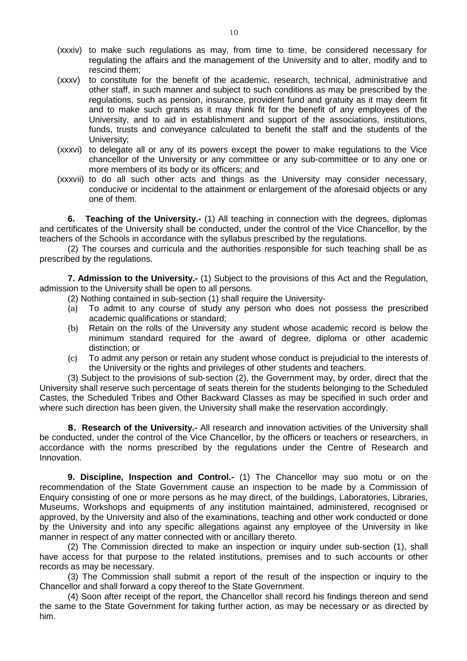- (xxxiv) to make such regulations as may, from time to time, be considered necessary for regulating the affairs and the management of the University and to alter, modify and to rescind them;
- (xxxv) to constitute for the benefit of the academic, research, technical, administrative and other staff, in such manner and subject to such conditions as may be prescribed by the regulations, such as pension, insurance, provident fund and gratuity as it may deem fit and to make such grants as it may think fit for the benefit of any employees of the University, and to aid in establishment and support of the associations, institutions, funds, trusts and conveyance calculated to benefit the staff and the students of the University;
- (xxxvi) to delegate all or any of its powers except the power to make regulations to the Vice chancellor of the University or any committee or any sub-committee or to any one or more members of its body or its officers; and
- (xxxvii) to do all such other acts and things as the University may consider necessary, conducive or incidental to the attainment or enlargement of the aforesaid objects or any one of them.

<span id="page-9-0"></span>**6. Teaching of the University.-** (1) All teaching in connection with the degrees, diplomas and certificates of the University shall be conducted, under the control of the Vice Chancellor, by the teachers of the Schools in accordance with the syllabus prescribed by the regulations.

(2) The courses and curricula and the authorities responsible for such teaching shall be as prescribed by the regulations.

**7. Admission to the University.-** (1) Subject to the provisions of this Act and the Regulation, admission to the University shall be open to all persons.

- <span id="page-9-1"></span>(2) Nothing contained in sub-section (1) shall require the University-
- (a) To admit to any course of study any person who does not possess the prescribed academic qualifications or standard;
- (b) Retain on the rolls of the University any student whose academic record is below the minimum standard required for the award of degree, diploma or other academic distinction; or
- (c) To admit any person or retain any student whose conduct is prejudicial to the interests of the University or the rights and privileges of other students and teachers.

(3) Subject to the provisions of sub-section (2), the Government may, by order, direct that the University shall reserve such percentage of seats therein for the students belonging to the Scheduled Castes, the Scheduled Tribes and Other Backward Classes as may be specified in such order and where such direction has been given, the University shall make the reservation accordingly.

<span id="page-9-2"></span>**8. Research of the University.-** All research and innovation activities of the University shall be conducted, under the control of the Vice Chancellor, by the officers or teachers or researchers, in accordance with the norms prescribed by the regulations under the Centre of Research and Innovation.

<span id="page-9-3"></span>**9. Discipline, Inspection and Control.-** (1) The Chancellor may suo motu or on the recommendation of the State Government cause an inspection to be made by a Commission of Enquiry consisting of one or more persons as he may direct, of the buildings, Laboratories, Libraries, Museums, Workshops and equipments of any institution maintained, administered, recognised or approved, by the University and also of the examinations, teaching and other work conducted or done by the University and into any specific allegations against any employee of the University in like manner in respect of any matter connected with or ancillary thereto.

(2) The Commission directed to make an inspection or inquiry under sub-section (1), shall have access for that purpose to the related institutions, premises and to such accounts or other records as may be necessary.

(3) The Commission shall submit a report of the result of the inspection or inquiry to the Chancellor and shall forward a copy thereof to the State Government.

(4) Soon after receipt of the report, the Chancellor shall record his findings thereon and send the same to the State Government for taking further action, as may be necessary or as directed by him.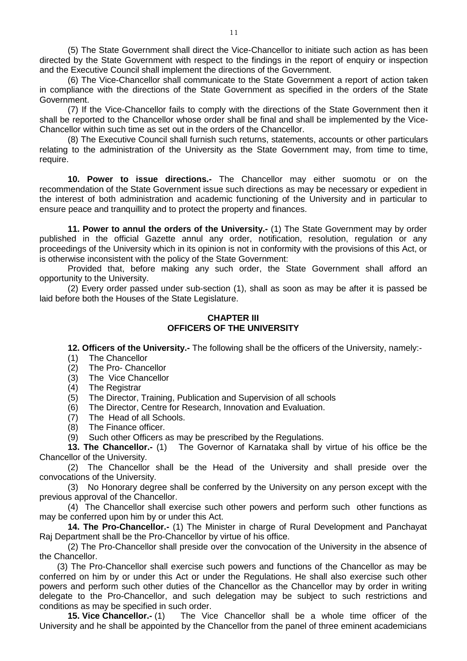(5) The State Government shall direct the Vice-Chancellor to initiate such action as has been directed by the State Government with respect to the findings in the report of enquiry or inspection and the Executive Council shall implement the directions of the Government.

(6) The Vice-Chancellor shall communicate to the State Government a report of action taken in compliance with the directions of the State Government as specified in the orders of the State Government.

(7) If the Vice-Chancellor fails to comply with the directions of the State Government then it shall be reported to the Chancellor whose order shall be final and shall be implemented by the Vice-Chancellor within such time as set out in the orders of the Chancellor.

(8) The Executive Council shall furnish such returns, statements, accounts or other particulars relating to the administration of the University as the State Government may, from time to time, require.

<span id="page-10-0"></span>**10. Power to issue directions.-** The Chancellor may either suomotu or on the recommendation of the State Government issue such directions as may be necessary or expedient in the interest of both administration and academic functioning of the University and in particular to ensure peace and tranquillity and to protect the property and finances.

<span id="page-10-1"></span>**11. Power to annul the orders of the University.-** (1) The State Government may by order published in the official Gazette annul any order, notification, resolution, regulation or any proceedings of the University which in its opinion is not in conformity with the provisions of this Act, or is otherwise inconsistent with the policy of the State Government:

Provided that, before making any such order, the State Government shall afford an opportunity to the University.

(2) Every order passed under sub-section (1), shall as soon as may be after it is passed be laid before both the Houses of the State Legislature.

## **CHAPTER III OFFICERS OF THE UNIVERSITY**

<span id="page-10-2"></span>**12. Officers of the University.-** The following shall be the officers of the University, namely:-

- (1) The Chancellor
- (2) The Pro- Chancellor
- (3) The Vice Chancellor
- (4) The Registrar

(5) The Director, Training, Publication and Supervision of all schools

(6) The Director, Centre for Research, Innovation and Evaluation.

(7) The Head of all Schools.<br>(8) The Finance officer.

The Finance officer.

<span id="page-10-3"></span>(9) Such other Officers as may be prescribed by the Regulations.

**13. The Chancellor.-** (1) The Governor of Karnataka shall by virtue of his office be the Chancellor of the University.

(2) The Chancellor shall be the Head of the University and shall preside over the convocations of the University.

(3) No Honorary degree shall be conferred by the University on any person except with the previous approval of the Chancellor.

(4) The Chancellor shall exercise such other powers and perform such other functions as may be conferred upon him by or under this Act.

<span id="page-10-4"></span>**14. The Pro-Chancellor.-** (1) The Minister in charge of Rural Development and Panchayat Raj Department shall be the Pro-Chancellor by virtue of his office.

(2) The Pro-Chancellor shall preside over the convocation of the University in the absence of the Chancellor.

(3) The Pro-Chancellor shall exercise such powers and functions of the Chancellor as may be conferred on him by or under this Act or under the Regulations. He shall also exercise such other powers and perform such other duties of the Chancellor as the Chancellor may by order in writing delegate to the Pro-Chancellor, and such delegation may be subject to such restrictions and conditions as may be specified in such order.

<span id="page-10-5"></span>**15. Vice Chancellor.-** (1) The Vice Chancellor shall be a whole time officer of the University and he shall be appointed by the Chancellor from the panel of three eminent academicians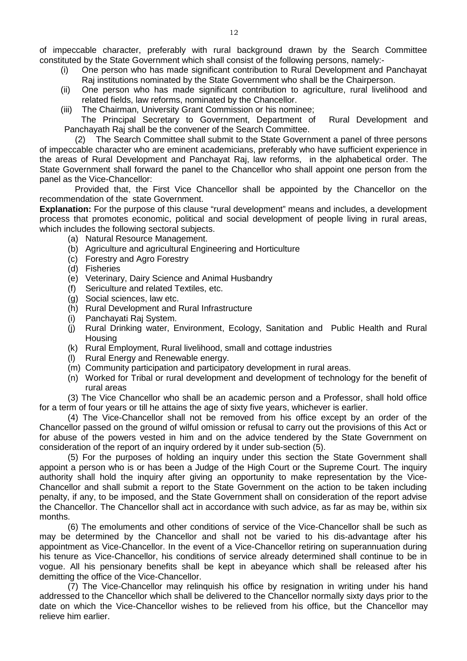of impeccable character, preferably with rural background drawn by the Search Committee constituted by the State Government which shall consist of the following persons, namely:-

- (i) One person who has made significant contribution to Rural Development and Panchayat Raj institutions nominated by the State Government who shall be the Chairperson.
- (ii) One person who has made significant contribution to agriculture, rural livelihood and related fields, law reforms, nominated by the Chancellor.
- (iii) The Chairman, University Grant Commission or his nominee;

The Principal Secretary to Government, Department of Rural Development and Panchayath Raj shall be the convener of the Search Committee.

 (2) The Search Committee shall submit to the State Government a panel of three persons of impeccable character who are eminent academicians, preferably who have sufficient experience in the areas of Rural Development and Panchayat Raj, law reforms, in the alphabetical order. The State Government shall forward the panel to the Chancellor who shall appoint one person from the panel as the Vice-Chancellor:

 Provided that, the First Vice Chancellor shall be appointed by the Chancellor on the recommendation of the state Government.

**Explanation:** For the purpose of this clause "rural development" means and includes, a development process that promotes economic, political and social development of people living in rural areas, which includes the following sectoral subjects.

- (a) Natural Resource Management.
- (b) Agriculture and agricultural Engineering and Horticulture
- (c) Forestry and Agro Forestry
- (d) Fisheries
- (e) Veterinary, Dairy Science and Animal Husbandry
- (f) Sericulture and related Textiles, etc.
- (g) Social sciences, law etc.
- (h) Rural Development and Rural Infrastructure
- (i) Panchayati Raj System.
- (j) Rural Drinking water, Environment, Ecology, Sanitation and Public Health and Rural **Housing**
- (k) Rural Employment, Rural livelihood, small and cottage industries
- (l) Rural Energy and Renewable energy.
- (m) Community participation and participatory development in rural areas.
- (n) Worked for Tribal or rural development and development of technology for the benefit of rural areas

(3) The Vice Chancellor who shall be an academic person and a Professor, shall hold office for a term of four years or till he attains the age of sixty five years, whichever is earlier.

(4) The Vice-Chancellor shall not be removed from his office except by an order of the Chancellor passed on the ground of wilful omission or refusal to carry out the provisions of this Act or for abuse of the powers vested in him and on the advice tendered by the State Government on consideration of the report of an inquiry ordered by it under sub-section (5).

(5) For the purposes of holding an inquiry under this section the State Government shall appoint a person who is or has been a Judge of the High Court or the Supreme Court. The inquiry authority shall hold the inquiry after giving an opportunity to make representation by the Vice-Chancellor and shall submit a report to the State Government on the action to be taken including penalty, if any, to be imposed, and the State Government shall on consideration of the report advise the Chancellor. The Chancellor shall act in accordance with such advice, as far as may be, within six months.

(6) The emoluments and other conditions of service of the Vice-Chancellor shall be such as may be determined by the Chancellor and shall not be varied to his dis-advantage after his appointment as Vice-Chancellor. In the event of a Vice-Chancellor retiring on superannuation during his tenure as Vice-Chancellor, his conditions of service already determined shall continue to be in vogue. All his pensionary benefits shall be kept in abeyance which shall be released after his demitting the office of the Vice-Chancellor.

(7) The Vice-Chancellor may relinquish his office by resignation in writing under his hand addressed to the Chancellor which shall be delivered to the Chancellor normally sixty days prior to the date on which the Vice-Chancellor wishes to be relieved from his office, but the Chancellor may relieve him earlier.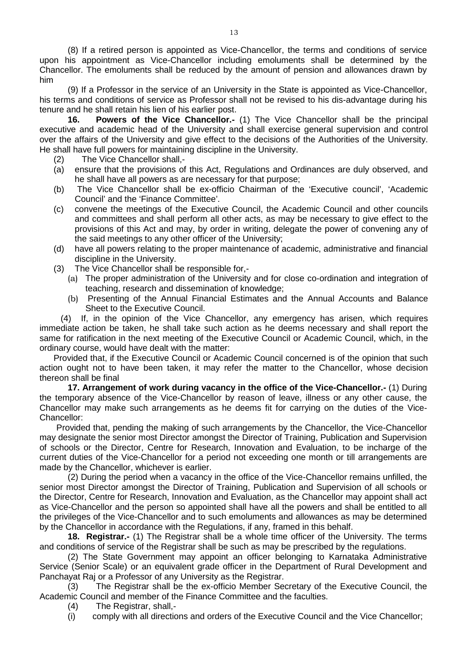(8) If a retired person is appointed as Vice-Chancellor, the terms and conditions of service upon his appointment as Vice-Chancellor including emoluments shall be determined by the Chancellor. The emoluments shall be reduced by the amount of pension and allowances drawn by him

(9) If a Professor in the service of an University in the State is appointed as Vice-Chancellor, his terms and conditions of service as Professor shall not be revised to his dis-advantage during his tenure and he shall retain his lien of his earlier post.

<span id="page-12-0"></span>**16. Powers of the Vice Chancellor.-** (1) The Vice Chancellor shall be the principal executive and academic head of the University and shall exercise general supervision and control over the affairs of the University and give effect to the decisions of the Authorities of the University. He shall have full powers for maintaining discipline in the University.

- (2) The Vice Chancellor shall,-
- (a) ensure that the provisions of this Act, Regulations and Ordinances are duly observed, and he shall have all powers as are necessary for that purpose;
- (b) The Vice Chancellor shall be ex-officio Chairman of the 'Executive council', 'Academic Council' and the 'Finance Committee'.
- (c) convene the meetings of the Executive Council, the Academic Council and other councils and committees and shall perform all other acts, as may be necessary to give effect to the provisions of this Act and may, by order in writing, delegate the power of convening any of the said meetings to any other officer of the University;
- (d) have all powers relating to the proper maintenance of academic, administrative and financial discipline in the University.
- (3) The Vice Chancellor shall be responsible for,-
	- (a) The proper administration of the University and for close co-ordination and integration of teaching, research and dissemination of knowledge;
	- (b) Presenting of the Annual Financial Estimates and the Annual Accounts and Balance Sheet to the Executive Council.

(4) If, in the opinion of the Vice Chancellor, any emergency has arisen, which requires immediate action be taken, he shall take such action as he deems necessary and shall report the same for ratification in the next meeting of the Executive Council or Academic Council, which, in the ordinary course, would have dealt with the matter:

Provided that, if the Executive Council or Academic Council concerned is of the opinion that such action ought not to have been taken, it may refer the matter to the Chancellor, whose decision thereon shall be final

<span id="page-12-1"></span>**17. Arrangement of work during vacancy in the office of the Vice-Chancellor.-** (1) During the temporary absence of the Vice-Chancellor by reason of leave, illness or any other cause, the Chancellor may make such arrangements as he deems fit for carrying on the duties of the Vice-Chancellor:

Provided that, pending the making of such arrangements by the Chancellor, the Vice-Chancellor may designate the senior most Director amongst the Director of Training, Publication and Supervision of schools or the Director, Centre for Research, Innovation and Evaluation, to be incharge of the current duties of the Vice-Chancellor for a period not exceeding one month or till arrangements are made by the Chancellor, whichever is earlier.

(2) During the period when a vacancy in the office of the Vice-Chancellor remains unfilled, the senior most Director amongst the Director of Training, Publication and Supervision of all schools or the Director, Centre for Research, Innovation and Evaluation, as the Chancellor may appoint shall act as Vice-Chancellor and the person so appointed shall have all the powers and shall be entitled to all the privileges of the Vice-Chancellor and to such emoluments and allowances as may be determined by the Chancellor in accordance with the Regulations, if any, framed in this behalf.

<span id="page-12-2"></span>**18. Registrar.-** (1) The Registrar shall be a whole time officer of the University. The terms and conditions of service of the Registrar shall be such as may be prescribed by the regulations.

(2) The State Government may appoint an officer belonging to Karnataka Administrative Service (Senior Scale) or an equivalent grade officer in the Department of Rural Development and Panchayat Raj or a Professor of any University as the Registrar.

(3) The Registrar shall be the ex-officio Member Secretary of the Executive Council, the Academic Council and member of the Finance Committee and the faculties.

- (4) The Registrar, shall,-
- (i) comply with all directions and orders of the Executive Council and the Vice Chancellor;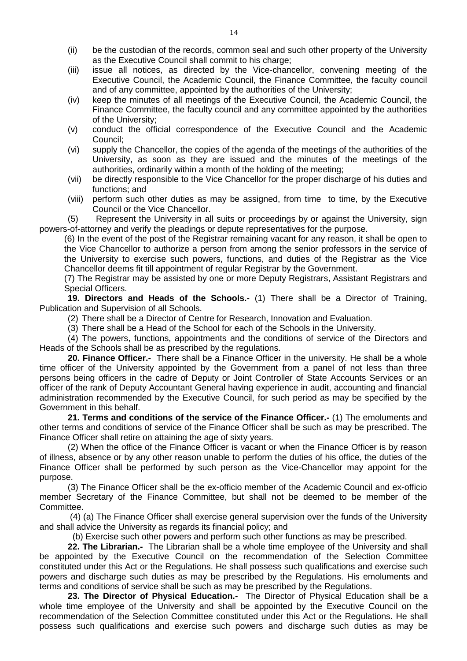- (ii) be the custodian of the records, common seal and such other property of the University as the Executive Council shall commit to his charge;
- (iii) issue all notices, as directed by the Vice-chancellor, convening meeting of the Executive Council, the Academic Council, the Finance Committee, the faculty council and of any committee, appointed by the authorities of the University;
- (iv) keep the minutes of all meetings of the Executive Council, the Academic Council, the Finance Committee, the faculty council and any committee appointed by the authorities of the University;
- (v) conduct the official correspondence of the Executive Council and the Academic Council;
- (vi) supply the Chancellor, the copies of the agenda of the meetings of the authorities of the University, as soon as they are issued and the minutes of the meetings of the authorities, ordinarily within a month of the holding of the meeting;
- (vii) be directly responsible to the Vice Chancellor for the proper discharge of his duties and functions; and
- (viii) perform such other duties as may be assigned, from time to time, by the Executive Council or the Vice Chancellor.

(5) Represent the University in all suits or proceedings by or against the University, sign powers-of-attorney and verify the pleadings or depute representatives for the purpose.

(6) In the event of the post of the Registrar remaining vacant for any reason, it shall be open to the Vice Chancellor to authorize a person from among the senior professors in the service of the University to exercise such powers, functions, and duties of the Registrar as the Vice Chancellor deems fit till appointment of regular Registrar by the Government.

(7) The Registrar may be assisted by one or more Deputy Registrars, Assistant Registrars and Special Officers.

**19. Directors and Heads of the Schools.-** (1) There shall be a Director of Training, Publication and Supervision of all Schools.

<span id="page-13-0"></span>(2) There shall be a Director of Centre for Research, Innovation and Evaluation.

<span id="page-13-1"></span>(3) There shall be a Head of the School for each of the Schools in the University.

(4) The powers, functions, appointments and the conditions of service of the Directors and Heads of the Schools shall be as prescribed by the regulations.

**20. Finance Officer.-** There shall be a Finance Officer in the university. He shall be a whole time officer of the University appointed by the Government from a panel of not less than three persons being officers in the cadre of Deputy or Joint Controller of State Accounts Services or an officer of the rank of Deputy Accountant General having experience in audit, accounting and financial administration recommended by the Executive Council, for such period as may be specified by the Government in this behalf.

<span id="page-13-2"></span>**21. Terms and conditions of the service of the Finance Officer.-** (1) The emoluments and other terms and conditions of service of the Finance Officer shall be such as may be prescribed. The Finance Officer shall retire on attaining the age of sixty years.

(2) When the office of the Finance Officer is vacant or when the Finance Officer is by reason of illness, absence or by any other reason unable to perform the duties of his office, the duties of the Finance Officer shall be performed by such person as the Vice-Chancellor may appoint for the purpose.

(3) The Finance Officer shall be the ex-officio member of the Academic Council and ex-officio member Secretary of the Finance Committee, but shall not be deemed to be member of the Committee.

(4) (a) The Finance Officer shall exercise general supervision over the funds of the University and shall advice the University as regards its financial policy; and

<span id="page-13-3"></span>(b) Exercise such other powers and perform such other functions as may be prescribed.

**22. The Librarian.-** The Librarian shall be a whole time employee of the University and shall be appointed by the Executive Council on the recommendation of the Selection Committee constituted under this Act or the Regulations. He shall possess such qualifications and exercise such powers and discharge such duties as may be prescribed by the Regulations. His emoluments and terms and conditions of service shall be such as may be prescribed by the Regulations.

<span id="page-13-4"></span>**23. The Director of Physical Education.-** The Director of Physical Education shall be a whole time employee of the University and shall be appointed by the Executive Council on the recommendation of the Selection Committee constituted under this Act or the Regulations. He shall possess such qualifications and exercise such powers and discharge such duties as may be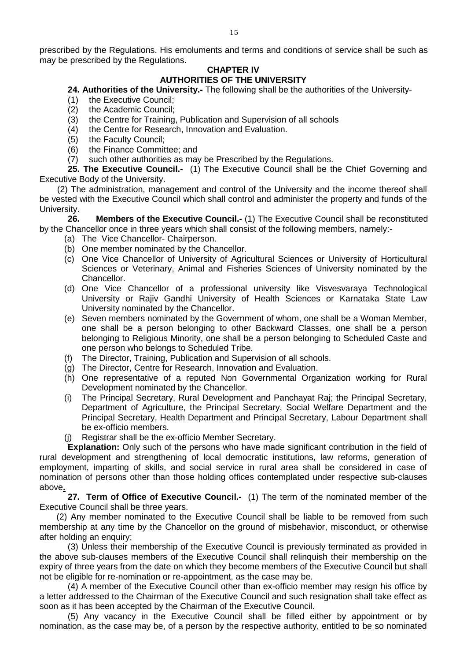prescribed by the Regulations. His emoluments and terms and conditions of service shall be such as may be prescribed by the Regulations.

# **CHAPTER IV**

# **AUTHORITIES OF THE UNIVERSITY**

#### <span id="page-14-0"></span>**24. Authorities of the University.-** The following shall be the authorities of the University-

- (1) the Executive Council;
- (2) the Academic Council;<br>(3) the Centre for Training
- (3) the Centre for Training, Publication and Supervision of all schools (4) the Centre for Research, Innovation and Evaluation.
- the Centre for Research, Innovation and Evaluation.
- 
- (5) the Faculty Council;<br>(6) the Finance Commit the Finance Committee; and
- <span id="page-14-1"></span>(7) such other authorities as may be Prescribed by the Regulations.

**25. The Executive Council.-** (1) The Executive Council shall be the Chief Governing and Executive Body of the University.

(2) The administration, management and control of the University and the income thereof shall be vested with the Executive Council which shall control and administer the property and funds of the University.

<span id="page-14-2"></span>**26. Members of the Executive Council.-** (1) The Executive Council shall be reconstituted by the Chancellor once in three years which shall consist of the following members, namely:-

- (a) The Vice Chancellor- Chairperson.
- (b) One member nominated by the Chancellor.
- (c) One Vice Chancellor of University of Agricultural Sciences or University of Horticultural Sciences or Veterinary, Animal and Fisheries Sciences of University nominated by the Chancellor.
- (d) One Vice Chancellor of a professional university like Visvesvaraya Technological University or Rajiv Gandhi University of Health Sciences or Karnataka State Law University nominated by the Chancellor.
- (e) Seven members nominated by the Government of whom, one shall be a Woman Member, one shall be a person belonging to other Backward Classes, one shall be a person belonging to Religious Minority, one shall be a person belonging to Scheduled Caste and one person who belongs to Scheduled Tribe.
- (f) The Director, Training, Publication and Supervision of all schools.
- (g) The Director, Centre for Research, Innovation and Evaluation.
- (h) One representative of a reputed Non Governmental Organization working for Rural Development nominated by the Chancellor.
- (i) The Principal Secretary, Rural Development and Panchayat Raj; the Principal Secretary, Department of Agriculture, the Principal Secretary, Social Welfare Department and the Principal Secretary, Health Department and Principal Secretary, Labour Department shall be ex-officio members.
- (j) Registrar shall be the ex-officio Member Secretary.

**Explanation:** Only such of the persons who have made significant contribution in the field of rural development and strengthening of local democratic institutions, law reforms, generation of employment, imparting of skills, and social service in rural area shall be considered in case of nomination of persons other than those holding offices contemplated under respective sub-clauses above**.**

<span id="page-14-3"></span>**27. Term of Office of Executive Council.-** (1) The term of the nominated member of the Executive Council shall be three years.

(2) Any member nominated to the Executive Council shall be liable to be removed from such membership at any time by the Chancellor on the ground of misbehavior, misconduct, or otherwise after holding an enquiry;

(3) Unless their membership of the Executive Council is previously terminated as provided in the above sub-clauses members of the Executive Council shall relinquish their membership on the expiry of three years from the date on which they become members of the Executive Council but shall not be eligible for re-nomination or re-appointment, as the case may be.

(4) A member of the Executive Council other than ex-officio member may resign his office by a letter addressed to the Chairman of the Executive Council and such resignation shall take effect as soon as it has been accepted by the Chairman of the Executive Council.

(5) Any vacancy in the Executive Council shall be filled either by appointment or by nomination, as the case may be, of a person by the respective authority, entitled to be so nominated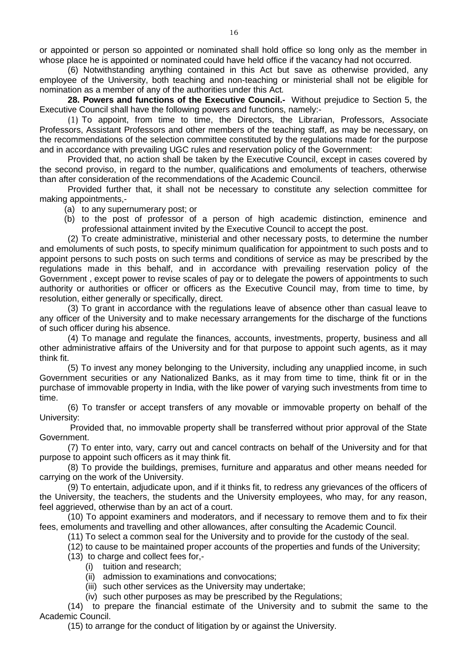or appointed or person so appointed or nominated shall hold office so long only as the member in whose place he is appointed or nominated could have held office if the vacancy had not occurred.

(6) Notwithstanding anything contained in this Act but save as otherwise provided, any employee of the University, both teaching and non-teaching or ministerial shall not be eligible for nomination as a member of any of the authorities under this Act*.* 

<span id="page-15-0"></span>**28. Powers and functions of the Executive Council.-** Without prejudice to Section 5, the Executive Council shall have the following powers and functions, namely:-

(1) To appoint, from time to time, the Directors, the Librarian, Professors, Associate Professors, Assistant Professors and other members of the teaching staff, as may be necessary, on the recommendations of the selection committee constituted by the regulations made for the purpose and in accordance with prevailing UGC rules and reservation policy of the Government:

Provided that, no action shall be taken by the Executive Council, except in cases covered by the second proviso, in regard to the number, qualifications and emoluments of teachers, otherwise than after consideration of the recommendations of the Academic Council.

Provided further that, it shall not be necessary to constitute any selection committee for making appointments,-

(a) to any supernumerary post; or

(b) to the post of professor of a person of high academic distinction, eminence and professional attainment invited by the Executive Council to accept the post.

(2) To create administrative, ministerial and other necessary posts, to determine the number and emoluments of such posts, to specify minimum qualification for appointment to such posts and to appoint persons to such posts on such terms and conditions of service as may be prescribed by the regulations made in this behalf, and in accordance with prevailing reservation policy of the Government , except power to revise scales of pay or to delegate the powers of appointments to such authority or authorities or officer or officers as the Executive Council may, from time to time, by resolution, either generally or specifically, direct.

(3) To grant in accordance with the regulations leave of absence other than casual leave to any officer of the University and to make necessary arrangements for the discharge of the functions of such officer during his absence.

(4) To manage and regulate the finances, accounts, investments, property, business and all other administrative affairs of the University and for that purpose to appoint such agents, as it may think fit.

(5) To invest any money belonging to the University, including any unapplied income, in such Government securities or any Nationalized Banks, as it may from time to time, think fit or in the purchase of immovable property in India, with the like power of varying such investments from time to time.

(6) To transfer or accept transfers of any movable or immovable property on behalf of the University:

Provided that, no immovable property shall be transferred without prior approval of the State Government.

(7) To enter into, vary, carry out and cancel contracts on behalf of the University and for that purpose to appoint such officers as it may think fit.

(8) To provide the buildings, premises, furniture and apparatus and other means needed for carrying on the work of the University.

(9) To entertain, adjudicate upon, and if it thinks fit, to redress any grievances of the officers of the University, the teachers, the students and the University employees, who may, for any reason, feel aggrieved, otherwise than by an act of a court.

(10) To appoint examiners and moderators, and if necessary to remove them and to fix their fees, emoluments and travelling and other allowances, after consulting the Academic Council.

(11) To select a common seal for the University and to provide for the custody of the seal.

(12) to cause to be maintained proper accounts of the properties and funds of the University;

(13) to charge and collect fees for,-

- (i) tuition and research;
- (ii) admission to examinations and convocations;
- (iii) such other services as the University may undertake;
- (iv) such other purposes as may be prescribed by the Regulations;

(14) to prepare the financial estimate of the University and to submit the same to the Academic Council.

(15) to arrange for the conduct of litigation by or against the University.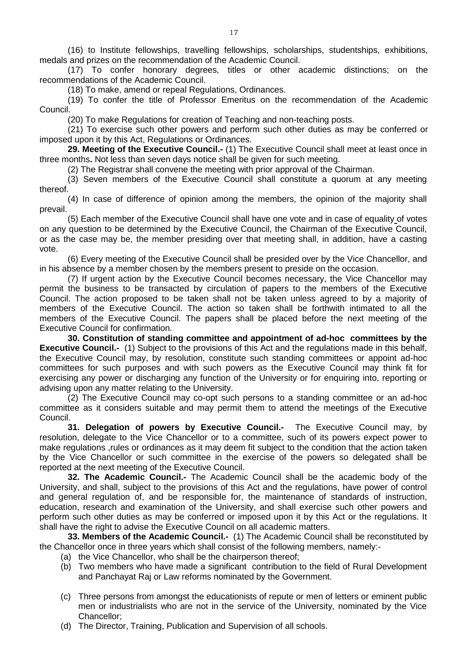(16) to Institute fellowships, travelling fellowships, scholarships, studentships, exhibitions, medals and prizes on the recommendation of the Academic Council.

(17) To confer honorary degrees, titles or other academic distinctions; on the recommendations of the Academic Council.

(18) To make, amend or repeal Regulations, Ordinances.

(19) To confer the title of Professor Emeritus on the recommendation of the Academic Council.

(20) To make Regulations for creation of Teaching and non-teaching posts.

(21) To exercise such other powers and perform such other duties as may be conferred or imposed upon it by this Act, Regulations or Ordinances.

**29. Meeting of the Executive Council.-** (1) The Executive Council shall meet at least once in three months**.** Not less than seven days notice shall be given for such meeting.

<span id="page-16-0"></span>(2) The Registrar shall convene the meeting with prior approval of the Chairman.

(3) Seven members of the Executive Council shall constitute a quorum at any meeting thereof.

(4) In case of difference of opinion among the members, the opinion of the majority shall prevail.

(5) Each member of the Executive Council shall have one vote and in case of equality of votes on any question to be determined by the Executive Council, the Chairman of the Executive Council, or as the case may be, the member presiding over that meeting shall, in addition, have a casting vote.

(6) Every meeting of the Executive Council shall be presided over by the Vice Chancellor, and in his absence by a member chosen by the members present to preside on the occasion.

(7) If urgent action by the Executive Council becomes necessary, the Vice Chancellor may permit the business to be transacted by circulation of papers to the members of the Executive Council. The action proposed to be taken shall not be taken unless agreed to by a majority of members of the Executive Council. The action so taken shall be forthwith intimated to all the members of the Executive Council. The papers shall be placed before the next meeting of the Executive Council for confirmation.

<span id="page-16-1"></span>**30. Constitution of standing committee and appointment of ad-hoc committees by the Executive Council.-** (1) Subject to the provisions of this Act and the regulations made in this behalf, the Executive Council may, by resolution, constitute such standing committees or appoint ad-hoc committees for such purposes and with such powers as the Executive Council may think fit for exercising any power or discharging any function of the University or for enquiring into, reporting or advising upon any matter relating to the University.

(2) The Executive Council may co-opt such persons to a standing committee or an ad-hoc committee as it considers suitable and may permit them to attend the meetings of the Executive Council.

<span id="page-16-2"></span>**31. Delegation of powers by Executive Council.-** The Executive Council may, by resolution, delegate to the Vice Chancellor or to a committee, such of its powers expect power to make regulations ,rules or ordinances as it may deem fit subject to the condition that the action taken by the Vice Chancellor or such committee in the exercise of the powers so delegated shall be reported at the next meeting of the Executive Council.

<span id="page-16-3"></span>**32. The Academic Council.-** The Academic Council shall be the academic body of the University, and shall, subject to the provisions of this Act and the regulations, have power of control and general regulation of, and be responsible for, the maintenance of standards of instruction, education, research and examination of the University, and shall exercise such other powers and perform such other duties as may be conferred or imposed upon it by this Act or the regulations. It shall have the right to advise the Executive Council on all academic matters.

**33. Members of the Academic Council.-** (1) The Academic Council shall be reconstituted by the Chancellor once in three years which shall consist of the following members, namely:-

- <span id="page-16-4"></span>(a) the Vice Chancellor, who shall be the chairperson thereof;
- (b) Two members who have made a significant contribution to the field of Rural Development and Panchayat Raj or Law reforms nominated by the Government.
- (c) Three persons from amongst the educationists of repute or men of letters or eminent public men or industrialists who are not in the service of the University, nominated by the Vice Chancellor;
- (d) The Director, Training, Publication and Supervision of all schools.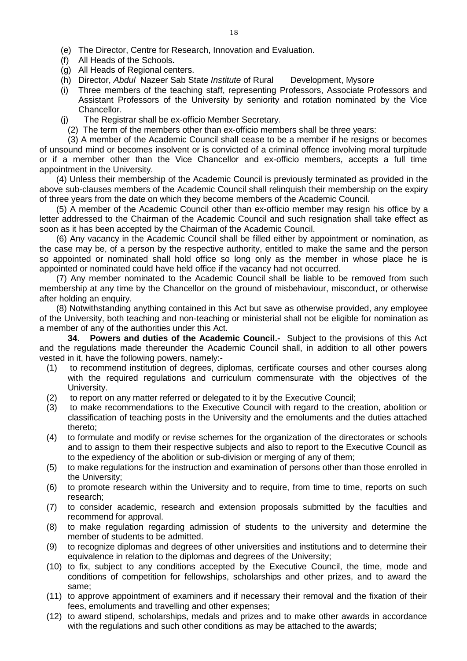- (e) The Director, Centre for Research, Innovation and Evaluation.
- (f) All Heads of the Schools**.**
- (g) All Heads of Regional centers.
- (h) Director, *Abdul* Nazeer Sab State *Institute* of Rural Development, Mysore
- (i) Three members of the teaching staff, representing Professors, Associate Professors and Assistant Professors of the University by seniority and rotation nominated by the Vice Chancellor.
- (j) The Registrar shall be ex-officio Member Secretary.
- (2) The term of the members other than ex-officio members shall be three years:

(3) A member of the Academic Council shall cease to be a member if he resigns or becomes of unsound mind or becomes insolvent or is convicted of a criminal offence involving moral turpitude or if a member other than the Vice Chancellor and ex-officio members, accepts a full time appointment in the University.

(4) Unless their membership of the Academic Council is previously terminated as provided in the above sub-clauses members of the Academic Council shall relinquish their membership on the expiry of three years from the date on which they become members of the Academic Council.

(5) A member of the Academic Council other than ex-officio member may resign his office by a letter addressed to the Chairman of the Academic Council and such resignation shall take effect as soon as it has been accepted by the Chairman of the Academic Council.

(6) Any vacancy in the Academic Council shall be filled either by appointment or nomination, as the case may be, of a person by the respective authority, entitled to make the same and the person so appointed or nominated shall hold office so long only as the member in whose place he is appointed or nominated could have held office if the vacancy had not occurred.

(7) Any member nominated to the Academic Council shall be liable to be removed from such membership at any time by the Chancellor on the ground of misbehaviour, misconduct, or otherwise after holding an enquiry.

(8) Notwithstanding anything contained in this Act but save as otherwise provided, any employee of the University, both teaching and non-teaching or ministerial shall not be eligible for nomination as a member of any of the authorities under this Act.

<span id="page-17-0"></span>**34. Powers and duties of the Academic Council.-** Subject to the provisions of this Act and the regulations made thereunder the Academic Council shall, in addition to all other powers vested in it, have the following powers, namely:-

- (1) to recommend institution of degrees, diplomas, certificate courses and other courses along with the required regulations and curriculum commensurate with the objectives of the University.
- (2) to report on any matter referred or delegated to it by the Executive Council;
- (3) to make recommendations to the Executive Council with regard to the creation, abolition or classification of teaching posts in the University and the emoluments and the duties attached thereto;
- (4) to formulate and modify or revise schemes for the organization of the directorates or schools and to assign to them their respective subjects and also to report to the Executive Council as to the expediency of the abolition or sub-division or merging of any of them;
- (5) to make regulations for the instruction and examination of persons other than those enrolled in the University;
- (6) to promote research within the University and to require, from time to time, reports on such research;
- (7) to consider academic, research and extension proposals submitted by the faculties and recommend for approval.
- (8) to make regulation regarding admission of students to the university and determine the member of students to be admitted.
- (9) to recognize diplomas and degrees of other universities and institutions and to determine their equivalence in relation to the diplomas and degrees of the University;
- (10) to fix, subject to any conditions accepted by the Executive Council, the time, mode and conditions of competition for fellowships, scholarships and other prizes, and to award the same;
- (11) to approve appointment of examiners and if necessary their removal and the fixation of their fees, emoluments and travelling and other expenses;
- (12) to award stipend, scholarships, medals and prizes and to make other awards in accordance with the regulations and such other conditions as may be attached to the awards;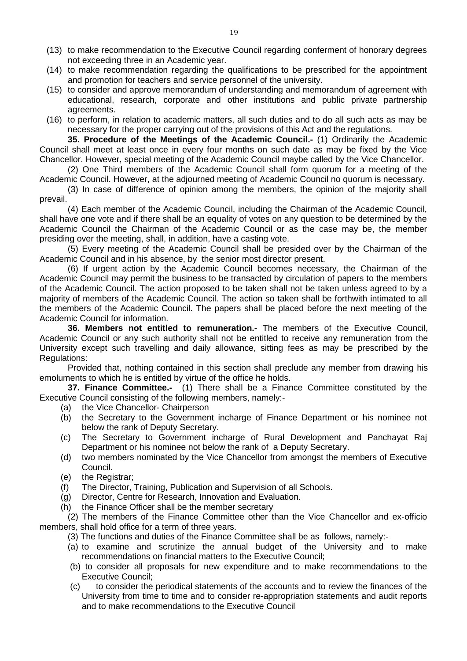- (13) to make recommendation to the Executive Council regarding conferment of honorary degrees not exceeding three in an Academic year.
- (14) to make recommendation regarding the qualifications to be prescribed for the appointment and promotion for teachers and service personnel of the university.
- (15) to consider and approve memorandum of understanding and memorandum of agreement with educational, research, corporate and other institutions and public private partnership agreements.
- <span id="page-18-0"></span>(16) to perform, in relation to academic matters, all such duties and to do all such acts as may be necessary for the proper carrying out of the provisions of this Act and the regulations.

**35. Procedure of the Meetings of the Academic Council.-** (1) Ordinarily the Academic Council shall meet at least once in every four months on such date as may be fixed by the Vice Chancellor. However, special meeting of the Academic Council maybe called by the Vice Chancellor.

(2) One Third members of the Academic Council shall form quorum for a meeting of the Academic Council. However, at the adjourned meeting of Academic Council no quorum is necessary.

(3) In case of difference of opinion among the members, the opinion of the majority shall prevail.

(4) Each member of the Academic Council, including the Chairman of the Academic Council, shall have one vote and if there shall be an equality of votes on any question to be determined by the Academic Council the Chairman of the Academic Council or as the case may be, the member presiding over the meeting, shall, in addition, have a casting vote.

(5) Every meeting of the Academic Council shall be presided over by the Chairman of the Academic Council and in his absence, by the senior most director present.

(6) If urgent action by the Academic Council becomes necessary, the Chairman of the Academic Council may permit the business to be transacted by circulation of papers to the members of the Academic Council. The action proposed to be taken shall not be taken unless agreed to by a majority of members of the Academic Council. The action so taken shall be forthwith intimated to all the members of the Academic Council. The papers shall be placed before the next meeting of the Academic Council for information.

<span id="page-18-1"></span>**36. Members not entitled to remuneration.-** The members of the Executive Council, Academic Council or any such authority shall not be entitled to receive any remuneration from the University except such travelling and daily allowance, sitting fees as may be prescribed by the Regulations:

Provided that, nothing contained in this section shall preclude any member from drawing his emoluments to which he is entitled by virtue of the office he holds.

**37. Finance Committee.-** (1) There shall be a Finance Committee constituted by the Executive Council consisting of the following members, namely:-

- <span id="page-18-2"></span>(a) the Vice Chancellor- Chairperson
- (b) the Secretary to the Government incharge of Finance Department or his nominee not below the rank of Deputy Secretary.
- (c) The Secretary to Government incharge of Rural Development and Panchayat Raj Department or his nominee not below the rank of a Deputy Secretary.
- (d) two members nominated by the Vice Chancellor from amongst the members of Executive Council.
- (e) the Registrar;
- (f) The Director, Training, Publication and Supervision of all Schools.
- (g) Director, Centre for Research, Innovation and Evaluation.
- (h) the Finance Officer shall be the member secretary

(2) The members of the Finance Committee other than the Vice Chancellor and ex-officio members, shall hold office for a term of three years.

- (3) The functions and duties of the Finance Committee shall be as follows, namely:-
- (a) to examine and scrutinize the annual budget of the University and to make recommendations on financial matters to the Executive Council;
- (b) to consider all proposals for new expenditure and to make recommendations to the Executive Council;
- (c) to consider the periodical statements of the accounts and to review the finances of the University from time to time and to consider re-appropriation statements and audit reports and to make recommendations to the Executive Council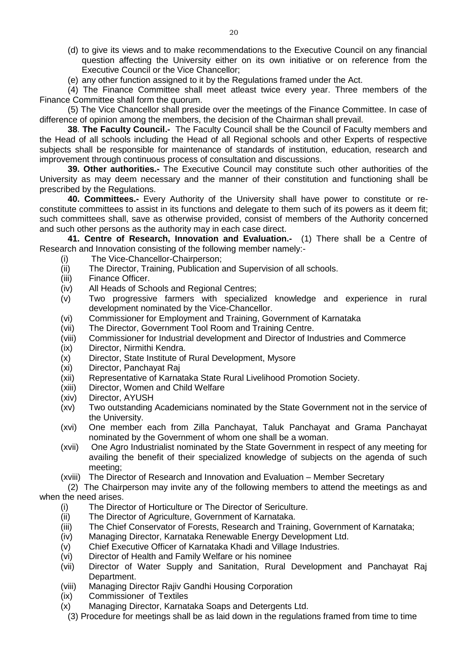(d) to give its views and to make recommendations to the Executive Council on any financial question affecting the University either on its own initiative or on reference from the Executive Council or the Vice Chancellor;

(e) any other function assigned to it by the Regulations framed under the Act.

(4) The Finance Committee shall meet atleast twice every year. Three members of the Finance Committee shall form the quorum.

(5) The Vice Chancellor shall preside over the meetings of the Finance Committee. In case of difference of opinion among the members, the decision of the Chairman shall prevail.

<span id="page-19-0"></span>**38**. **The Faculty Council.-** The Faculty Council shall be the Council of Faculty members and the Head of all schools including the Head of all Regional schools and other Experts of respective subjects shall be responsible for maintenance of standards of institution, education, research and improvement through continuous process of consultation and discussions.

<span id="page-19-1"></span>**39. Other authorities.-** The Executive Council may constitute such other authorities of the University as may deem necessary and the manner of their constitution and functioning shall be prescribed by the Regulations.

<span id="page-19-2"></span>**40. Committees.-** Every Authority of the University shall have power to constitute or reconstitute committees to assist in its functions and delegate to them such of its powers as it deem fit; such committees shall, save as otherwise provided, consist of members of the Authority concerned and such other persons as the authority may in each case direct.

**41. Centre of Research, Innovation and Evaluation.-** (1) There shall be a Centre of Research and Innovation consisting of the following member namely:-

- <span id="page-19-3"></span>(i) The Vice-Chancellor-Chairperson;
- (ii) The Director, Training, Publication and Supervision of all schools.<br>(iii) Finance Officer.
- Finance Officer.
- (iv) All Heads of Schools and Regional Centres;
- (v) Two progressive farmers with specialized knowledge and experience in rural development nominated by the Vice-Chancellor.
- (vi) Commissioner for Employment and Training, Government of Karnataka
- (vii) The Director, Government Tool Room and Training Centre.
- (viii) Commissioner for Industrial development and Director of Industries and Commerce
- (ix) Director, Nirmithi Kendra.
- (x) Director, State Institute of Rural Development, Mysore
- (xi) Director, Panchayat Raj
- (xii) Representative of Karnataka State Rural Livelihood Promotion Society.
- (xiii) Director, Women and Child Welfare
- (xiv) Director, AYUSH
- (xv) Two outstanding Academicians nominated by the State Government not in the service of the University.
- (xvi) One member each from Zilla Panchayat, Taluk Panchayat and Grama Panchayat nominated by the Government of whom one shall be a woman.
- (xvii) One Agro Industrialist nominated by the State Government in respect of any meeting for availing the benefit of their specialized knowledge of subjects on the agenda of such meeting;
- (xviii) The Director of Research and Innovation and Evaluation Member Secretary

(2) The Chairperson may invite any of the following members to attend the meetings as and when the need arises.

- (i) The Director of Horticulture or The Director of Sericulture.
- (ii) The Director of Agriculture, Government of Karnataka.
- (iii) The Chief Conservator of Forests, Research and Training, Government of Karnataka;
- (iv) Managing Director, Karnataka Renewable Energy Development Ltd.
- (v) Chief Executive Officer of Karnataka Khadi and Village Industries.
- (vi) Director of Health and Family Welfare or his nominee
- (vii) Director of Water Supply and Sanitation, Rural Development and Panchayat Raj Department.
- (viii) Managing Director Rajiv Gandhi Housing Corporation
- (ix) Commissioner of Textiles
- (x) Managing Director, Karnataka Soaps and Detergents Ltd.
	- (3) Procedure for meetings shall be as laid down in the regulations framed from time to time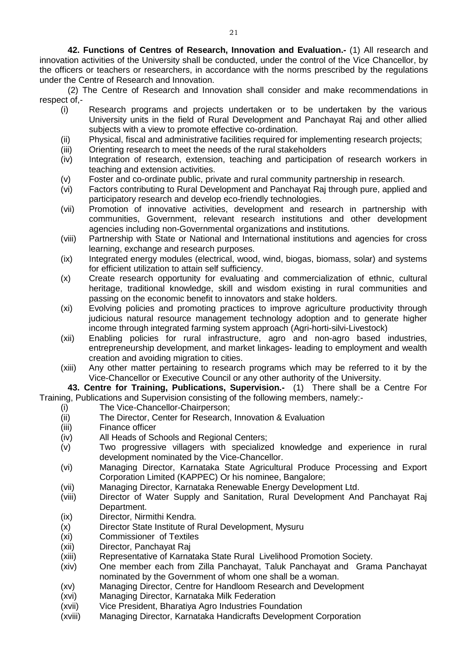<span id="page-20-0"></span>**42. Functions of Centres of Research, Innovation and Evaluation.-** (1) All research and innovation activities of the University shall be conducted, under the control of the Vice Chancellor, by the officers or teachers or researchers, in accordance with the norms prescribed by the regulations under the Centre of Research and Innovation.

(2) The Centre of Research and Innovation shall consider and make recommendations in respect of,-

- (i) Research programs and projects undertaken or to be undertaken by the various University units in the field of Rural Development and Panchayat Raj and other allied subjects with a view to promote effective co-ordination.
- (ii) Physical, fiscal and administrative facilities required for implementing research projects;
- (iii) Orienting research to meet the needs of the rural stakeholders
- (iv) Integration of research, extension, teaching and participation of research workers in teaching and extension activities.
- (v) Foster and co-ordinate public, private and rural community partnership in research.
- (vi) Factors contributing to Rural Development and Panchayat Raj through pure, applied and participatory research and develop eco-friendly technologies.
- (vii) Promotion of innovative activities, development and research in partnership with communities, Government, relevant research institutions and other development agencies including non-Governmental organizations and institutions.
- (viii) Partnership with State or National and International institutions and agencies for cross learning, exchange and research purposes.
- (ix) Integrated energy modules (electrical, wood, wind, biogas, biomass, solar) and systems for efficient utilization to attain self sufficiency.
- (x) Create research opportunity for evaluating and commercialization of ethnic, cultural heritage, traditional knowledge, skill and wisdom existing in rural communities and passing on the economic benefit to innovators and stake holders.
- (xi) Evolving policies and promoting practices to improve agriculture productivity through judicious natural resource management technology adoption and to generate higher income through integrated farming system approach (Agri-horti-silvi-Livestock)
- (xii) Enabling policies for rural infrastructure, agro and non-agro based industries, entrepreneurship development, and market linkages- leading to employment and wealth creation and avoiding migration to cities.
- <span id="page-20-1"></span>(xiii) Any other matter pertaining to research programs which may be referred to it by the Vice-Chancellor or Executive Council or any other authority of the University.

**43. Centre for Training, Publications, Supervision.-** (1)There shall be a Centre For Training, Publications and Supervision consisting of the following members, namely:-

- (i) The Vice-Chancellor-Chairperson;
- (ii) The Director, Center for Research, Innovation & Evaluation
- (iii) Finance officer
- (iv) All Heads of Schools and Regional Centers;
- (v) Two progressive villagers with specialized knowledge and experience in rural development nominated by the Vice-Chancellor.
- (vi) Managing Director, Karnataka State Agricultural Produce Processing and Export Corporation Limited (KAPPEC) Or his nominee, Bangalore;
- (vii) Managing Director, Karnataka Renewable Energy Development Ltd.
- (viii) Director of Water Supply and Sanitation, Rural Development And Panchayat Raj Department.
- (ix) Director, Nirmithi Kendra.
- (x) Director State Institute of Rural Development, Mysuru
- (xi) Commissioner of Textiles
- (xii) Director, Panchayat Raj
- (xiii) Representative of Karnataka State Rural Livelihood Promotion Society.
- (xiv) One member each from Zilla Panchayat, Taluk Panchayat and Grama Panchayat nominated by the Government of whom one shall be a woman.
- (xv) Managing Director, Centre for Handloom Research and Development
- (xvi) Managing Director, Karnataka Milk Federation
- (xvii) Vice President, Bharatiya Agro Industries Foundation
- (xviii) Managing Director, Karnataka Handicrafts Development Corporation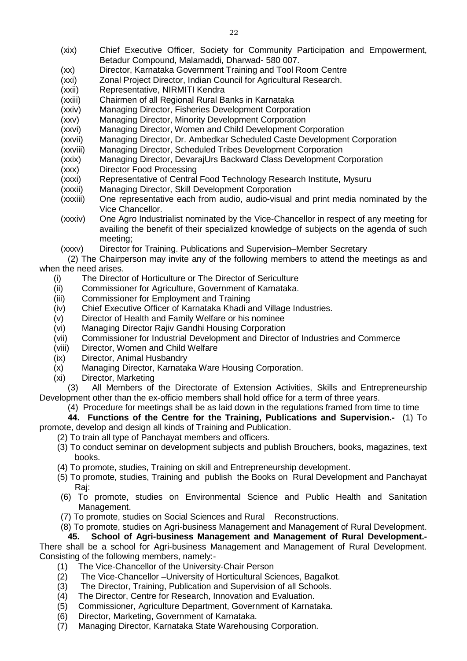- (xix) Chief Executive Officer, Society for Community Participation and Empowerment, Betadur Compound, Malamaddi, Dharwad- 580 007.
- (xx) Director, Karnataka Government Training and Tool Room Centre
- (xxi) Zonal Project Director, Indian Council for Agricultural Research.
- (xxii) Representative, NIRMITI Kendra
- (xxiii) Chairmen of all Regional Rural Banks in Karnataka
- (xxiv) Managing Director, Fisheries Development Corporation
- (xxv) Managing Director, Minority Development Corporation
- (xxvi) Managing Director, Women and Child Development Corporation
- (xxvii) Managing Director, Dr. Ambedkar Scheduled Caste Development Corporation
- (xxviii) Managing Director, Scheduled Tribes Development Corporation
- (xxix) Managing Director, DevarajUrs Backward Class Development Corporation
- (xxx) Director Food Processing
- (xxxi) Representative of Central Food Technology Research Institute, Mysuru
- (xxxii) Managing Director, Skill Development Corporation
- (xxxiii) One representative each from audio, audio-visual and print media nominated by the Vice Chancellor.
- (xxxiv) One Agro Industrialist nominated by the Vice-Chancellor in respect of any meeting for availing the benefit of their specialized knowledge of subjects on the agenda of such meeting;
- (xxxv) Director for Training. Publications and Supervision–Member Secretary
- (2) The Chairperson may invite any of the following members to attend the meetings as and when the need arises.
	- (i) The Director of Horticulture or The Director of Sericulture
	- (ii) Commissioner for Agriculture, Government of Karnataka.
	- (iii) Commissioner for Employment and Training
	- (iv) Chief Executive Officer of Karnataka Khadi and Village Industries.
	- (v) Director of Health and Family Welfare or his nominee
	- (vi) Managing Director Rajiv Gandhi Housing Corporation
	- (vii) Commissioner for Industrial Development and Director of Industries and Commerce
	- (viii) Director, Women and Child Welfare
	- (ix) Director, Animal Husbandry
	- (x) Managing Director, Karnataka Ware Housing Corporation.
	- (xi) Director, Marketing

(3) All Members of the Directorate of Extension Activities, Skills and Entrepreneurship Development other than the ex-officio members shall hold office for a term of three years.

<span id="page-21-0"></span>(4) Procedure for meetings shall be as laid down in the regulations framed from time to time

**44. Functions of the Centre for the Training, Publications and Supervision.-** (1) To promote, develop and design all kinds of Training and Publication.

- (2) To train all type of Panchayat members and officers.
	- (3) To conduct seminar on development subjects and publish Brouchers, books, magazines, text books.
	- (4) To promote, studies, Training on skill and Entrepreneurship development.
	- (5) To promote, studies, Training and publish the Books on Rural Development and Panchayat Raj:
	- (6) To promote, studies on Environmental Science and Public Health and Sanitation Management.
	- (7) To promote, studies on Social Sciences and Rural Reconstructions.
	- (8) To promote, studies on Agri-business Management and Management of Rural Development.

# <span id="page-21-1"></span>**45. School of Agri-business Management and Management of Rural Development.-**

There shall be a school for Agri-business Management and Management of Rural Development. Consisting of the following members, namely:-

- (1) The Vice-Chancellor of the University-Chair Person
- (2) The Vice-Chancellor University of Horticultural Sciences, Bagalkot.<br>(3) The Director, Training, Publication and Supervision of all Schools.
- The Director, Training, Publication and Supervision of all Schools.
- (4) The Director, Centre for Research, Innovation and Evaluation.
- (5) Commissioner, Agriculture Department, Government of Karnataka.
- (6) Director, Marketing, Government of Karnataka.
- (7) Managing Director, Karnataka State Warehousing Corporation.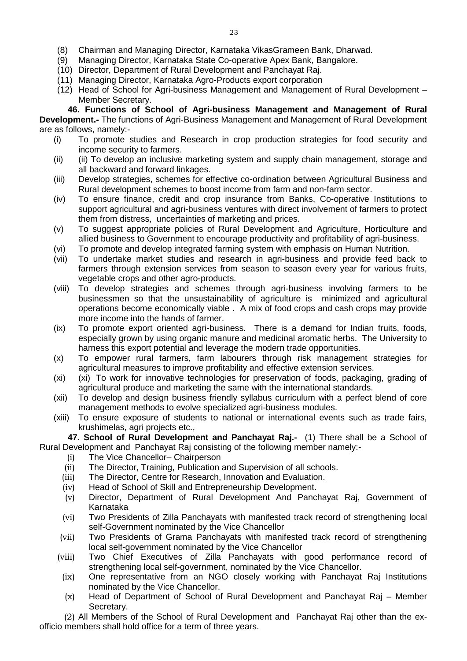- (9) Managing Director, Karnataka State Co-operative Apex Bank, Bangalore.
- (10) Director, Department of Rural Development and Panchayat Raj.
- (11) Managing Director, Karnataka Agro-Products export corporation
- <span id="page-22-0"></span>(12) Head of School for Agri-business Management and Management of Rural Development – Member Secretary.

**46. Functions of School of Agri-business Management and Management of Rural Development.-** The functions of Agri-Business Management and Management of Rural Development are as follows, namely:-

- (i) To promote studies and Research in crop production strategies for food security and income security to farmers.
- (ii) (ii) To develop an inclusive marketing system and supply chain management, storage and all backward and forward linkages.
- (iii) Develop strategies, schemes for effective co-ordination between Agricultural Business and Rural development schemes to boost income from farm and non-farm sector.
- (iv) To ensure finance, credit and crop insurance from Banks, Co-operative Institutions to support agricultural and agri-business ventures with direct involvement of farmers to protect them from distress, uncertainties of marketing and prices.
- (v) To suggest appropriate policies of Rural Development and Agriculture, Horticulture and allied business to Government to encourage productivity and profitability of agri-business.
- (vi) To promote and develop integrated farming system with emphasis on Human Nutrition.
- (vii) To undertake market studies and research in agri-business and provide feed back to farmers through extension services from season to season every year for various fruits, vegetable crops and other agro-products.
- (viii) To develop strategies and schemes through agri-business involving farmers to be businessmen so that the unsustainability of agriculture is minimized and agricultural operations become economically viable . A mix of food crops and cash crops may provide more income into the hands of farmer.
- (ix) To promote export oriented agri-business. There is a demand for Indian fruits, foods, especially grown by using organic manure and medicinal aromatic herbs. The University to harness this export potential and leverage the modern trade opportunities.
- (x) To empower rural farmers, farm labourers through risk management strategies for agricultural measures to improve profitability and effective extension services.
- (xi) (xi) To work for innovative technologies for preservation of foods, packaging, grading of agricultural produce and marketing the same with the international standards.
- (xii) To develop and design business friendly syllabus curriculum with a perfect blend of core management methods to evolve specialized agri-business modules.
- (xiii) To ensure exposure of students to national or international events such as trade fairs, krushimelas, agri projects etc.,

**47. School of Rural Development and Panchayat Raj.-** (1) There shall be a School of Rural Development and Panchayat Raj consisting of the following member namely:-

- <span id="page-22-1"></span>(i) The Vice Chancellor– Chairperson
- (ii) The Director, Training, Publication and Supervision of all schools.
- (iii) The Director, Centre for Research, Innovation and Evaluation.
- (iv) Head of School of Skill and Entrepreneurship Development.
- (v) Director, Department of Rural Development And Panchayat Raj, Government of Karnataka
- (vi) Two Presidents of Zilla Panchayats with manifested track record of strengthening local self-Government nominated by the Vice Chancellor
- (vii) Two Presidents of Grama Panchayats with manifested track record of strengthening local self-government nominated by the Vice Chancellor
- (viii) Two Chief Executives of Zilla Panchayats with good performance record of strengthening local self-government, nominated by the Vice Chancellor.
- (ix) One representative from an NGO closely working with Panchayat Raj Institutions nominated by the Vice Chancellor.
- (x) Head of Department of School of Rural Development and Panchayat Raj Member Secretary.

(2) All Members of the School of Rural Development and Panchayat Raj other than the exofficio members shall hold office for a term of three years.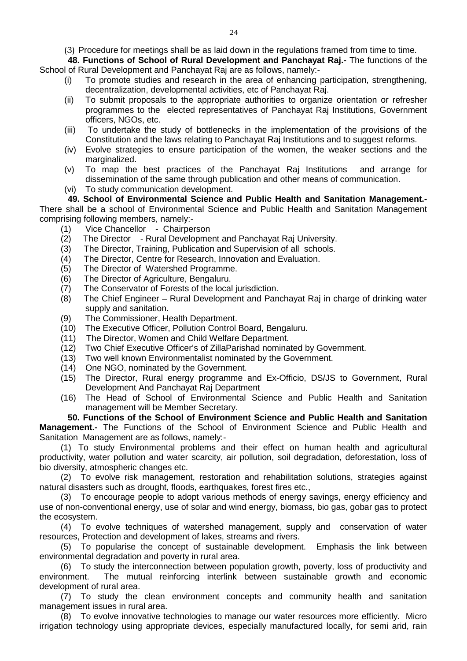<span id="page-23-0"></span>(3) Procedure for meetings shall be as laid down in the regulations framed from time to time.

**48. Functions of School of Rural Development and Panchayat Raj.-** The functions of the School of Rural Development and Panchayat Raj are as follows, namely:-

- (i) To promote studies and research in the area of enhancing participation, strengthening, decentralization, developmental activities, etc of Panchayat Raj.
- (ii) To submit proposals to the appropriate authorities to organize orientation or refresher programmes to the elected representatives of Panchayat Raj Institutions, Government officers, NGOs, etc.
- (iii) To undertake the study of bottlenecks in the implementation of the provisions of the Constitution and the laws relating to Panchayat Raj Institutions and to suggest reforms.
- (iv) Evolve strategies to ensure participation of the women, the weaker sections and the marginalized.
- (v) To map the best practices of the Panchayat Raj Institutions and arrange for dissemination of the same through publication and other means of communication.
- <span id="page-23-1"></span>(vi) To study communication development.

# **49. School of Environmental Science and Public Health and Sanitation Management.-**

There shall be a school of Environmental Science and Public Health and Sanitation Management comprising following members, namely:-

- (1) Vice Chancellor Chairperson
- (2) The Director Rural Development and Panchayat Raj University.
- (3) The Director, Training, Publication and Supervision of all schools.
- (4) The Director, Centre for Research, Innovation and Evaluation.
- (5) The Director of Watershed Programme.
- (6) The Director of Agriculture, Bengaluru.
- (7) The Conservator of Forests of the local jurisdiction.
- (8) The Chief Engineer Rural Development and Panchayat Raj in charge of drinking water supply and sanitation.
- (9) The Commissioner, Health Department.
- (10) The Executive Officer, Pollution Control Board, Bengaluru.
- (11) The Director, Women and Child Welfare Department.
- (12) Two Chief Executive Officer's of ZillaParishad nominated by Government.
- (13) Two well known Environmentalist nominated by the Government.
- (14) One NGO, nominated by the Government.
- (15) The Director, Rural energy programme and Ex-Officio, DS/JS to Government, Rural Development And Panchayat Raj Department
- <span id="page-23-2"></span>(16) The Head of School of Environmental Science and Public Health and Sanitation management will be Member Secretary.

**50. Functions of the School of Environment Science and Public Health and Sanitation Management.-** The Functions of the School of Environment Science and Public Health and Sanitation Management are as follows, namely:-

(1) To study Environmental problems and their effect on human health and agricultural productivity, water pollution and water scarcity, air pollution, soil degradation, deforestation, loss of bio diversity, atmospheric changes etc.

(2) To evolve risk management, restoration and rehabilitation solutions, strategies against natural disasters such as drought, floods, earthquakes, forest fires etc.,

(3) To encourage people to adopt various methods of energy savings, energy efficiency and use of non-conventional energy, use of solar and wind energy, biomass, bio gas, gobar gas to protect the ecosystem.

(4) To evolve techniques of watershed management, supply and conservation of water resources, Protection and development of lakes, streams and rivers.

(5) To popularise the concept of sustainable development. Emphasis the link between environmental degradation and poverty in rural area.

(6) To study the interconnection between population growth, poverty, loss of productivity and environment. The mutual reinforcing interlink between sustainable growth and economic development of rural area.

(7) To study the clean environment concepts and community health and sanitation management issues in rural area.

(8) To evolve innovative technologies to manage our water resources more efficiently. Micro irrigation technology using appropriate devices, especially manufactured locally, for semi arid, rain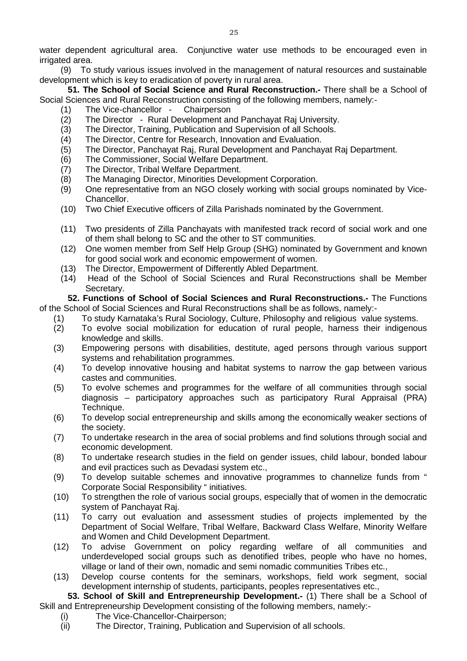water dependent agricultural area. Conjunctive water use methods to be encouraged even in irrigated area.

(9) To study various issues involved in the management of natural resources and sustainable development which is key to eradication of poverty in rural area.

**51. The School of Social Science and Rural Reconstruction.-** There shall be a School of Social Sciences and Rural Reconstruction consisting of the following members, namely:-

- <span id="page-24-0"></span>(1) The Vice-chancellor - Chairperson
- (2) The Director Rural Development and Panchayat Raj University.
- 
- (3) The Director, Training, Publication and Supervision of all Schools.<br>(4) The Director, Centre for Research, Innovation and Evaluation. The Director, Centre for Research, Innovation and Evaluation.
- (5) The Director, Panchayat Raj, Rural Development and Panchayat Raj Department.
- The Commissioner, Social Welfare Department.
- (7) The Director, Tribal Welfare Department.
- (8) The Managing Director, Minorities Development Corporation.
- (9) One representative from an NGO closely working with social groups nominated by Vice-Chancellor.
- (10) Two Chief Executive officers of Zilla Parishads nominated by the Government.
- (11) Two presidents of Zilla Panchayats with manifested track record of social work and one of them shall belong to SC and the other to ST communities.
- (12) One women member from Self Help Group (SHG) nominated by Government and known for good social work and economic empowerment of women.
- (13) The Director, Empowerment of Differently Abled Department.<br>(14) Head of the School of Social Sciences and Rural Recons
- <span id="page-24-1"></span>Head of the School of Social Sciences and Rural Reconstructions shall be Member Secretary.

**52. Functions of School of Social Sciences and Rural Reconstructions.-** The Functions of the School of Social Sciences and Rural Reconstructions shall be as follows, namely:-

- (1) To study Karnataka's Rural Sociology, Culture, Philosophy and religious value systems.
- (2) To evolve social mobilization for education of rural people, harness their indigenous knowledge and skills.
- (3) Empowering persons with disabilities, destitute, aged persons through various support systems and rehabilitation programmes.
- (4) To develop innovative housing and habitat systems to narrow the gap between various castes and communities.
- (5) To evolve schemes and programmes for the welfare of all communities through social diagnosis – participatory approaches such as participatory Rural Appraisal (PRA) Technique.
- (6) To develop social entrepreneurship and skills among the economically weaker sections of the society.
- (7) To undertake research in the area of social problems and find solutions through social and economic development.
- (8) To undertake research studies in the field on gender issues, child labour, bonded labour and evil practices such as Devadasi system etc.,
- (9) To develop suitable schemes and innovative programmes to channelize funds from " Corporate Social Responsibility " initiatives.
- (10) To strengthen the role of various social groups, especially that of women in the democratic system of Panchayat Raj.
- (11) To carry out evaluation and assessment studies of projects implemented by the Department of Social Welfare, Tribal Welfare, Backward Class Welfare, Minority Welfare and Women and Child Development Department.
- (12) To advise Government on policy regarding welfare of all communities and underdeveloped social groups such as denotified tribes, people who have no homes, village or land of their own, nomadic and semi nomadic communities Tribes etc.,
- (13) Develop course contents for the seminars, workshops, field work segment, social development internship of students, participants, peoples representatives etc.,

**53. School of Skill and Entrepreneurship Development.-** (1) There shall be a School of Skill and Entrepreneurship Development consisting of the following members, namely:-

- <span id="page-24-2"></span>(i) The Vice-Chancellor-Chairperson;
- (ii) The Director, Training, Publication and Supervision of all schools.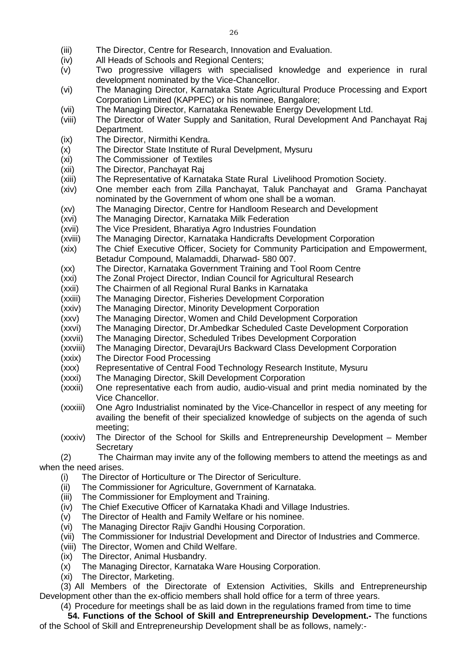- (iii) The Director, Centre for Research, Innovation and Evaluation.<br>(iv) All Heads of Schools and Regional Centers:
- All Heads of Schools and Regional Centers;
- (v) Two progressive villagers with specialised knowledge and experience in rural development nominated by the Vice-Chancellor.
- (vi) The Managing Director, Karnataka State Agricultural Produce Processing and Export Corporation Limited (KAPPEC) or his nominee, Bangalore;
- (vii) The Managing Director, Karnataka Renewable Energy Development Ltd.
- (viii) The Director of Water Supply and Sanitation, Rural Development And Panchayat Raj Department.
- (ix) The Director, Nirmithi Kendra.
- (x) The Director State Institute of Rural Develpment, Mysuru<br>(xi) The Commissioner of Textiles
- The Commissioner of Textiles
- (xii) The Director, Panchayat Raj
- (xiii) The Representative of Karnataka State Rural Livelihood Promotion Society.
- (xiv) One member each from Zilla Panchayat, Taluk Panchayat and Grama Panchayat nominated by the Government of whom one shall be a woman.
- (xv) The Managing Director, Centre for Handloom Research and Development
- (xvi) The Managing Director, Karnataka Milk Federation
- (xvii) The Vice President, Bharatiya Agro Industries Foundation
- (xviii) The Managing Director, Karnataka Handicrafts Development Corporation
- (xix) The Chief Executive Officer, Society for Community Participation and Empowerment, Betadur Compound, Malamaddi, Dharwad- 580 007.
- (xx) The Director, Karnataka Government Training and Tool Room Centre<br>(xxi) The Zonal Project Director, Indian Council for Agricultural Research
- The Zonal Project Director, Indian Council for Agricultural Research
- (xxii) The Chairmen of all Regional Rural Banks in Karnataka
- (xxiii) The Managing Director, Fisheries Development Corporation
- (xxiv) The Managing Director, Minority Development Corporation
- (xxv) The Managing Director, Women and Child Development Corporation
- (xxvi) The Managing Director, Dr.Ambedkar Scheduled Caste Development Corporation
- (xxvii) The Managing Director, Scheduled Tribes Development Corporation
- (xxviii) The Managing Director, DevarajUrs Backward Class Development Corporation
- (xxix) The Director Food Processing
- (xxx) Representative of Central Food Technology Research Institute, Mysuru
- (xxxi) The Managing Director, Skill Development Corporation
- (xxxii) One representative each from audio, audio-visual and print media nominated by the Vice Chancellor.
- (xxxiii) One Agro Industrialist nominated by the Vice-Chancellor in respect of any meeting for availing the benefit of their specialized knowledge of subjects on the agenda of such meeting;
- (xxxiv) The Director of the School for Skills and Entrepreneurship Development Member **Secretary**
- (2) The Chairman may invite any of the following members to attend the meetings as and when the need arises.
	- (i) The Director of Horticulture or The Director of Sericulture.
	- (ii) The Commissioner for Agriculture, Government of Karnataka.
	- (iii) The Commissioner for Employment and Training.
	- (iv) The Chief Executive Officer of Karnataka Khadi and Village Industries.
	- (v) The Director of Health and Family Welfare or his nominee.
	- (vi) The Managing Director Rajiv Gandhi Housing Corporation.
	- (vii) The Commissioner for Industrial Development and Director of Industries and Commerce.
	- (viii) The Director, Women and Child Welfare.
	- (ix) The Director, Animal Husbandry.
	- (x) The Managing Director, Karnataka Ware Housing Corporation.
	- (xi) The Director, Marketing.

(3) All Members of the Directorate of Extension Activities, Skills and Entrepreneurship Development other than the ex-officio members shall hold office for a term of three years.

<span id="page-25-0"></span>(4) Procedure for meetings shall be as laid down in the regulations framed from time to time

**54. Functions of the School of Skill and Entrepreneurship Development.-** The functions of the School of Skill and Entrepreneurship Development shall be as follows, namely:-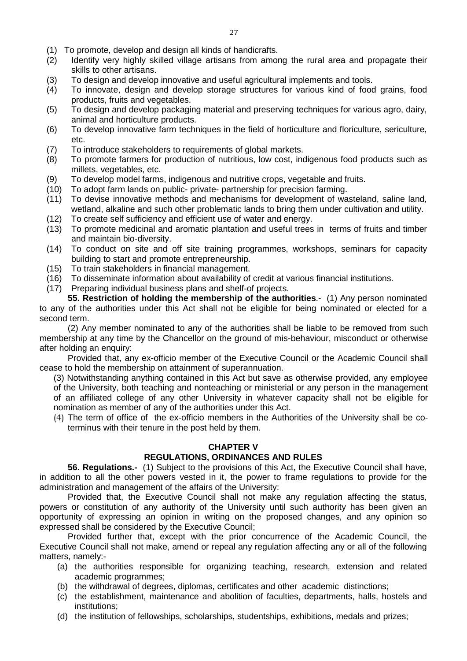- (1) To promote, develop and design all kinds of handicrafts.
- (2) Identify very highly skilled village artisans from among the rural area and propagate their skills to other artisans.
- (3) To design and develop innovative and useful agricultural implements and tools.
- (4) To innovate, design and develop storage structures for various kind of food grains, food products, fruits and vegetables.
- (5) To design and develop packaging material and preserving techniques for various agro, dairy, animal and horticulture products.
- (6) To develop innovative farm techniques in the field of horticulture and floriculture, sericulture, etc.
- (7) To introduce stakeholders to requirements of global markets.
- (8) To promote farmers for production of nutritious, low cost, indigenous food products such as millets, vegetables, etc.
- (9) To develop model farms, indigenous and nutritive crops, vegetable and fruits.
- (10) To adopt farm lands on public- private- partnership for precision farming.
- (11) To devise innovative methods and mechanisms for development of wasteland, saline land, wetland, alkaline and such other problematic lands to bring them under cultivation and utility.
- (12) To create self sufficiency and efficient use of water and energy.
- (13) To promote medicinal and aromatic plantation and useful trees in terms of fruits and timber and maintain bio-diversity.
- (14) To conduct on site and off site training programmes, workshops, seminars for capacity building to start and promote entrepreneurship.
- (15) To train stakeholders in financial management.
- (16) To disseminate information about availability of credit at various financial institutions.
- <span id="page-26-0"></span>(17) Preparing individual business plans and shelf-of projects.

**55. Restriction of holding the membership of the authorities**.- (1) Any person nominated to any of the authorities under this Act shall not be eligible for being nominated or elected for a second term.

(2) Any member nominated to any of the authorities shall be liable to be removed from such membership at any time by the Chancellor on the ground of mis-behaviour, misconduct or otherwise after holding an enquiry:

Provided that, any ex-officio member of the Executive Council or the Academic Council shall cease to hold the membership on attainment of superannuation.

(3) Notwithstanding anything contained in this Act but save as otherwise provided, any employee of the University, both teaching and nonteaching or ministerial or any person in the management of an affiliated college of any other University in whatever capacity shall not be eligible for nomination as member of any of the authorities under this Act.

(4) The term of office of the ex-officio members in the Authorities of the University shall be coterminus with their tenure in the post held by them.

#### **CHAPTER V**

## **REGULATIONS, ORDINANCES AND RULES**

<span id="page-26-1"></span>**56. Regulations.-** (1) Subject to the provisions of this Act, the Executive Council shall have, in addition to all the other powers vested in it, the power to frame regulations to provide for the administration and management of the affairs of the University:

Provided that, the Executive Council shall not make any regulation affecting the status, powers or constitution of any authority of the University until such authority has been given an opportunity of expressing an opinion in writing on the proposed changes, and any opinion so expressed shall be considered by the Executive Council;

Provided further that, except with the prior concurrence of the Academic Council, the Executive Council shall not make, amend or repeal any regulation affecting any or all of the following matters, namely:-

- (a) the authorities responsible for organizing teaching, research, extension and related academic programmes;
- (b) the withdrawal of degrees, diplomas, certificates and other academic distinctions;
- (c) the establishment, maintenance and abolition of faculties, departments, halls, hostels and institutions;
- (d) the institution of fellowships, scholarships, studentships, exhibitions, medals and prizes;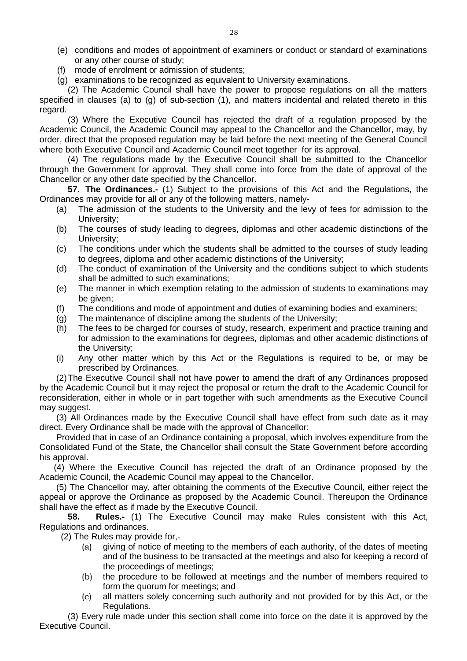- (e) conditions and modes of appointment of examiners or conduct or standard of examinations or any other course of study;
- (f) mode of enrolment or admission of students;
- (g) examinations to be recognized as equivalent to University examinations.

(2) The Academic Council shall have the power to propose regulations on all the matters specified in clauses (a) to (g) of sub-section (1), and matters incidental and related thereto in this regard.

(3) Where the Executive Council has rejected the draft of a regulation proposed by the Academic Council, the Academic Council may appeal to the Chancellor and the Chancellor, may, by order, direct that the proposed regulation may be laid before the next meeting of the General Council where both Executive Council and Academic Council meet together for its approval.

(4) The regulations made by the Executive Council shall be submitted to the Chancellor through the Government for approval. They shall come into force from the date of approval of the Chancellor or any other date specified by the Chancellor.

<span id="page-27-0"></span>**57. The Ordinances.-** (1) Subject to the provisions of this Act and the Regulations, the Ordinances may provide for all or any of the following matters, namely-

- (a) The admission of the students to the University and the levy of fees for admission to the University;
- (b) The courses of study leading to degrees, diplomas and other academic distinctions of the University;
- (c) The conditions under which the students shall be admitted to the courses of study leading to degrees, diploma and other academic distinctions of the University;
- (d) The conduct of examination of the University and the conditions subject to which students shall be admitted to such examinations;
- (e) The manner in which exemption relating to the admission of students to examinations may be given;
- (f) The conditions and mode of appointment and duties of examining bodies and examiners;
- (g) The maintenance of discipline among the students of the University;
- (h) The fees to be charged for courses of study, research, experiment and practice training and for admission to the examinations for degrees, diplomas and other academic distinctions of the University;
- (i) Any other matter which by this Act or the Regulations is required to be, or may be prescribed by Ordinances.

(2)The Executive Council shall not have power to amend the draft of any Ordinances proposed by the Academic Council but it may reject the proposal or return the draft to the Academic Council for reconsideration, either in whole or in part together with such amendments as the Executive Council may suggest.

(3) All Ordinances made by the Executive Council shall have effect from such date as it may direct. Every Ordinance shall be made with the approval of Chancellor:

Provided that in case of an Ordinance containing a proposal, which involves expenditure from the Consolidated Fund of the State, the Chancellor shall consult the State Government before according his approval.

 (4) Where the Executive Council has rejected the draft of an Ordinance proposed by the Academic Council, the Academic Council may appeal to the Chancellor.

(5) The Chancellor may, after obtaining the comments of the Executive Council, either reject the appeal or approve the Ordinance as proposed by the Academic Council. Thereupon the Ordinance shall have the effect as if made by the Executive Council.

<span id="page-27-1"></span>**58. Rules.-** (1) The Executive Council may make Rules consistent with this Act, Regulations and ordinances.

(2) The Rules may provide for,-

- (a) giving of notice of meeting to the members of each authority, of the dates of meeting and of the business to be transacted at the meetings and also for keeping a record of the proceedings of meetings;
- (b) the procedure to be followed at meetings and the number of members required to form the quorum for meetings; and
- (c) all matters solely concerning such authority and not provided for by this Act, or the Regulations.

(3) Every rule made under this section shall come into force on the date it is approved by the Executive Council.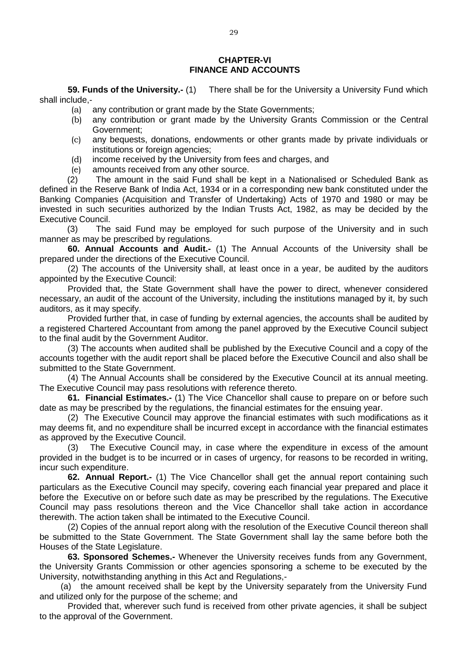#### **CHAPTER-VI FINANCE AND ACCOUNTS**

**59. Funds of the University.-** (1) There shall be for the University a University Fund which shall include,-

- <span id="page-28-0"></span>(a) any contribution or grant made by the State Governments;
- (b) any contribution or grant made by the University Grants Commission or the Central Government;
- (c) any bequests, donations, endowments or other grants made by private individuals or institutions or foreign agencies;
- (d) income received by the University from fees and charges, and
- (e) amounts received from any other source.

(2) The amount in the said Fund shall be kept in a Nationalised or Scheduled Bank as defined in the Reserve Bank of India Act, 1934 or in a corresponding new bank constituted under the Banking Companies (Acquisition and Transfer of Undertaking) Acts of 1970 and 1980 or may be invested in such securities authorized by the Indian Trusts Act, 1982, as may be decided by the Executive Council.

(3) The said Fund may be employed for such purpose of the University and in such manner as may be prescribed by regulations.

<span id="page-28-1"></span>**60. Annual Accounts and Audit.-** (1) The Annual Accounts of the University shall be prepared under the directions of the Executive Council.

(2) The accounts of the University shall, at least once in a year, be audited by the auditors appointed by the Executive Council:

Provided that, the State Government shall have the power to direct, whenever considered necessary, an audit of the account of the University, including the institutions managed by it, by such auditors, as it may specify.

Provided further that, in case of funding by external agencies, the accounts shall be audited by a registered Chartered Accountant from among the panel approved by the Executive Council subject to the final audit by the Government Auditor.

(3) The accounts when audited shall be published by the Executive Council and a copy of the accounts together with the audit report shall be placed before the Executive Council and also shall be submitted to the State Government.

(4) The Annual Accounts shall be considered by the Executive Council at its annual meeting. The Executive Council may pass resolutions with reference thereto.

<span id="page-28-2"></span>**61. Financial Estimates.-** (1) The Vice Chancellor shall cause to prepare on or before such date as may be prescribed by the regulations, the financial estimates for the ensuing year.

(2) The Executive Council may approve the financial estimates with such modifications as it may deems fit, and no expenditure shall be incurred except in accordance with the financial estimates as approved by the Executive Council.

(3) The Executive Council may, in case where the expenditure in excess of the amount provided in the budget is to be incurred or in cases of urgency, for reasons to be recorded in writing, incur such expenditure.

<span id="page-28-3"></span>**62. Annual Report.-** (1) The Vice Chancellor shall get the annual report containing such particulars as the Executive Council may specify, covering each financial year prepared and place it before the Executive on or before such date as may be prescribed by the regulations. The Executive Council may pass resolutions thereon and the Vice Chancellor shall take action in accordance therewith. The action taken shall be intimated to the Executive Council.

(2) Copies of the annual report along with the resolution of the Executive Council thereon shall be submitted to the State Government. The State Government shall lay the same before both the Houses of the State Legislature.

<span id="page-28-4"></span>**63. Sponsored Schemes.-** Whenever the University receives funds from any Government, the University Grants Commission or other agencies sponsoring a scheme to be executed by the University, notwithstanding anything in this Act and Regulations,-

(a) the amount received shall be kept by the University separately from the University Fund and utilized only for the purpose of the scheme; and

Provided that, wherever such fund is received from other private agencies, it shall be subject to the approval of the Government.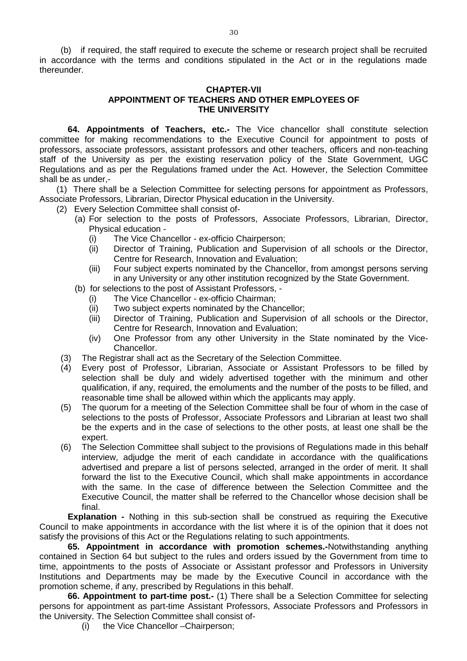(b) if required, the staff required to execute the scheme or research project shall be recruited in accordance with the terms and conditions stipulated in the Act or in the regulations made thereunder.

#### <span id="page-29-0"></span>**CHAPTER-VII APPOINTMENT OF TEACHERS AND OTHER EMPLOYEES OF THE UNIVERSITY**

**64. Appointments of Teachers, etc.-** The Vice chancellor shall constitute selection committee for making recommendations to the Executive Council for appointment to posts of professors, associate professors, assistant professors and other teachers, officers and non-teaching staff of the University as per the existing reservation policy of the State Government, UGC Regulations and as per the Regulations framed under the Act. However, the Selection Committee shall be as under,-

(1) There shall be a Selection Committee for selecting persons for appointment as Professors, Associate Professors, Librarian, Director Physical education in the University.

(2) Every Selection Committee shall consist of-

- (a) For selection to the posts of Professors, Associate Professors, Librarian, Director, Physical education -
	- (i) The Vice Chancellor ex-officio Chairperson;
	- (ii) Director of Training, Publication and Supervision of all schools or the Director, Centre for Research, Innovation and Evaluation;
	- (iii) Four subject experts nominated by the Chancellor, from amongst persons serving in any University or any other institution recognized by the State Government.
- (b) for selections to the post of Assistant Professors,
	- (i) The Vice Chancellor ex-officio Chairman;
	- (ii) Two subject experts nominated by the Chancellor;
	- (iii) Director of Training, Publication and Supervision of all schools or the Director, Centre for Research, Innovation and Evaluation;
	- (iv) One Professor from any other University in the State nominated by the Vice-Chancellor.
- (3) The Registrar shall act as the Secretary of the Selection Committee.
- (4) Every post of Professor, Librarian, Associate or Assistant Professors to be filled by selection shall be duly and widely advertised together with the minimum and other qualification, if any, required, the emoluments and the number of the posts to be filled, and reasonable time shall be allowed within which the applicants may apply.
- (5) The quorum for a meeting of the Selection Committee shall be four of whom in the case of selections to the posts of Professor, Associate Professors and Librarian at least two shall be the experts and in the case of selections to the other posts, at least one shall be the expert.
- (6) The Selection Committee shall subject to the provisions of Regulations made in this behalf interview, adjudge the merit of each candidate in accordance with the qualifications advertised and prepare a list of persons selected, arranged in the order of merit. It shall forward the list to the Executive Council, which shall make appointments in accordance with the same. In the case of difference between the Selection Committee and the Executive Council, the matter shall be referred to the Chancellor whose decision shall be final.

**Explanation -** Nothing in this sub-section shall be construed as requiring the Executive Council to make appointments in accordance with the list where it is of the opinion that it does not satisfy the provisions of this Act or the Regulations relating to such appointments.

<span id="page-29-1"></span>**65. Appointment in accordance with promotion schemes.-**Notwithstanding anything contained in Section 64 but subject to the rules and orders issued by the Government from time to time, appointments to the posts of Associate or Assistant professor and Professors in University Institutions and Departments may be made by the Executive Council in accordance with the promotion scheme, if any, prescribed by Regulations in this behalf.

**66. Appointment to part-time post.-** (1) There shall be a Selection Committee for selecting persons for appointment as part-time Assistant Professors, Associate Professors and Professors in the University. The Selection Committee shall consist of-

<span id="page-29-2"></span>(i) the Vice Chancellor –Chairperson;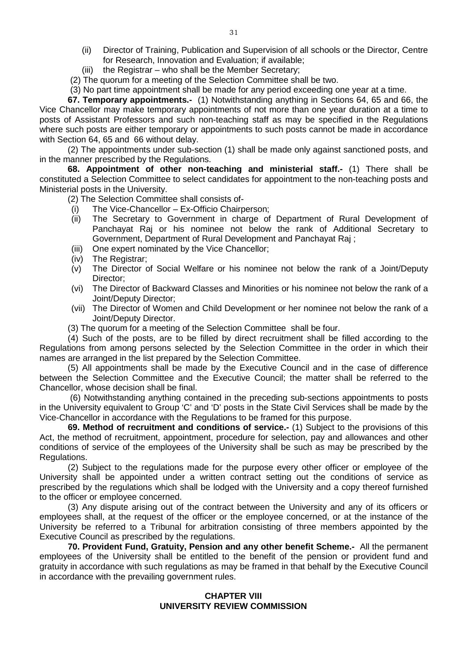- (ii) Director of Training, Publication and Supervision of all schools or the Director, Centre for Research, Innovation and Evaluation; if available;
- (iii) the Registrar who shall be the Member Secretary;
- (2) The quorum for a meeting of the Selection Committee shall be two.
- <span id="page-30-0"></span>(3) No part time appointment shall be made for any period exceeding one year at a time.

**67. Temporary appointments.-** (1) Notwithstanding anything in Sections 64, 65 and 66, the Vice Chancellor may make temporary appointments of not more than one year duration at a time to posts of Assistant Professors and such non-teaching staff as may be specified in the Regulations where such posts are either temporary or appointments to such posts cannot be made in accordance with Section 64, 65 and 66 without delay.

(2) The appointments under sub-section (1) shall be made only against sanctioned posts, and in the manner prescribed by the Regulations.

**68. Appointment of other non-teaching and ministerial staff.-** (1) There shall be constituted a Selection Committee to select candidates for appointment to the non-teaching posts and Ministerial posts in the University.

<span id="page-30-1"></span>(2) The Selection Committee shall consists of-

- (i) The Vice-Chancellor Ex-Officio Chairperson;
- (ii) The Secretary to Government in charge of Department of Rural Development of Panchayat Raj or his nominee not below the rank of Additional Secretary to Government, Department of Rural Development and Panchayat Raj ;
- (iii) One expert nominated by the Vice Chancellor;
- (iv) The Registrar;
- (v) The Director of Social Welfare or his nominee not below the rank of a Joint/Deputy Director;
- (vi) The Director of Backward Classes and Minorities or his nominee not below the rank of a Joint/Deputy Director;
- (vii) The Director of Women and Child Development or her nominee not below the rank of a Joint/Deputy Director.
- (3) The quorum for a meeting of the Selection Committee shall be four.

(4) Such of the posts, are to be filled by direct recruitment shall be filled according to the Regulations from among persons selected by the Selection Committee in the order in which their names are arranged in the list prepared by the Selection Committee.

(5) All appointments shall be made by the Executive Council and in the case of difference between the Selection Committee and the Executive Council; the matter shall be referred to the Chancellor, whose decision shall be final.

(6) Notwithstanding anything contained in the preceding sub-sections appointments to posts in the University equivalent to Group 'C' and 'D' posts in the State Civil Services shall be made by the Vice-Chancellor in accordance with the Regulations to be framed for this purpose.

<span id="page-30-2"></span>**69. Method of recruitment and conditions of service.-** (1) Subject to the provisions of this Act, the method of recruitment, appointment, procedure for selection, pay and allowances and other conditions of service of the employees of the University shall be such as may be prescribed by the Regulations.

(2) Subject to the regulations made for the purpose every other officer or employee of the University shall be appointed under a written contract setting out the conditions of service as prescribed by the regulations which shall be lodged with the University and a copy thereof furnished to the officer or employee concerned.

(3) Any dispute arising out of the contract between the University and any of its officers or employees shall, at the request of the officer or the employee concerned, or at the instance of the University be referred to a Tribunal for arbitration consisting of three members appointed by the Executive Council as prescribed by the regulations.

<span id="page-30-3"></span>**70. Provident Fund, Gratuity, Pension and any other benefit Scheme.-** All the permanent employees of the University shall be entitled to the benefit of the pension or provident fund and gratuity in accordance with such regulations as may be framed in that behalf by the Executive Council in accordance with the prevailing government rules.

#### **CHAPTER VIII UNIVERSITY REVIEW COMMISSION**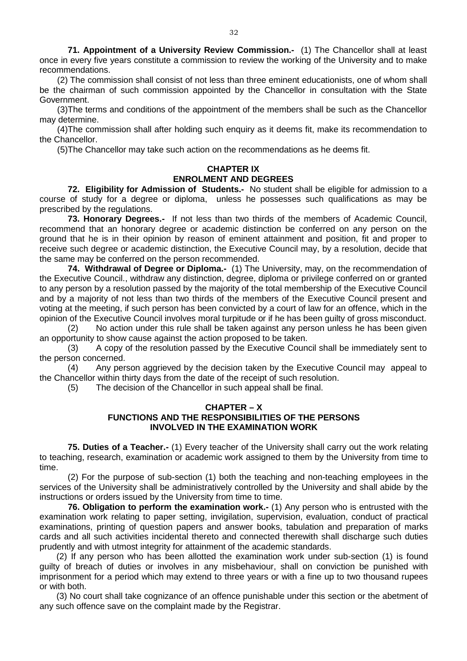<span id="page-31-0"></span>**71. Appointment of a University Review Commission.-** (1) The Chancellor shall at least once in every five years constitute a commission to review the working of the University and to make recommendations.

(2) The commission shall consist of not less than three eminent educationists, one of whom shall be the chairman of such commission appointed by the Chancellor in consultation with the State Government.

(3)The terms and conditions of the appointment of the members shall be such as the Chancellor may determine.

(4)The commission shall after holding such enquiry as it deems fit, make its recommendation to the Chancellor.

(5)The Chancellor may take such action on the recommendations as he deems fit.

# **CHAPTER IX ENROLMENT AND DEGREES**

<span id="page-31-1"></span>**72. Eligibility for Admission of Students.-** No student shall be eligible for admission to a course of study for a degree or diploma, unless he possesses such qualifications as may be prescribed by the regulations.

<span id="page-31-2"></span>**73. Honorary Degrees.-** If not less than two thirds of the members of Academic Council, recommend that an honorary degree or academic distinction be conferred on any person on the ground that he is in their opinion by reason of eminent attainment and position, fit and proper to receive such degree or academic distinction, the Executive Council may, by a resolution, decide that the same may be conferred on the person recommended.

<span id="page-31-3"></span>**74. Withdrawal of Degree or Diploma.-** (1) The University, may, on the recommendation of the Executive Council., withdraw any distinction, degree, diploma or privilege conferred on or granted to any person by a resolution passed by the majority of the total membership of the Executive Council and by a majority of not less than two thirds of the members of the Executive Council present and voting at the meeting, if such person has been convicted by a court of law for an offence, which in the opinion of the Executive Council involves moral turpitude or if he has been guilty of gross misconduct.

(2) No action under this rule shall be taken against any person unless he has been given an opportunity to show cause against the action proposed to be taken.<br>(3) A copy of the resolution passed by the Executive Cound

A copy of the resolution passed by the Executive Council shall be immediately sent to the person concerned.

(4) Any person aggrieved by the decision taken by the Executive Council may appeal to the Chancellor within thirty days from the date of the receipt of such resolution.

(5) The decision of the Chancellor in such appeal shall be final.

#### **CHAPTER – X FUNCTIONS AND THE RESPONSIBILITIES OF THE PERSONS INVOLVED IN THE EXAMINATION WORK**

<span id="page-31-4"></span>**75. Duties of a Teacher.-** (1) Every teacher of the University shall carry out the work relating to teaching, research, examination or academic work assigned to them by the University from time to time.

(2) For the purpose of sub-section (1) both the teaching and non-teaching employees in the services of the University shall be administratively controlled by the University and shall abide by the instructions or orders issued by the University from time to time.

<span id="page-31-5"></span>**76. Obligation to perform the examination work.-** (1) Any person who is entrusted with the examination work relating to paper setting, invigilation, supervision, evaluation, conduct of practical examinations, printing of question papers and answer books, tabulation and preparation of marks cards and all such activities incidental thereto and connected therewith shall discharge such duties prudently and with utmost integrity for attainment of the academic standards.

(2) If any person who has been allotted the examination work under sub-section (1) is found guilty of breach of duties or involves in any misbehaviour, shall on conviction be punished with imprisonment for a period which may extend to three years or with a fine up to two thousand rupees or with both.

(3) No court shall take cognizance of an offence punishable under this section or the abetment of any such offence save on the complaint made by the Registrar.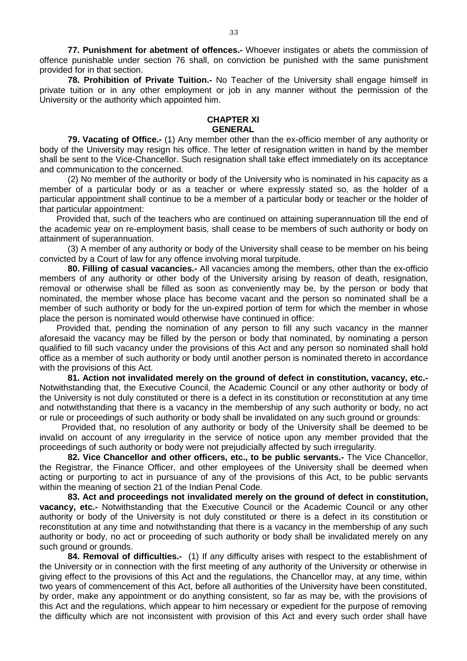<span id="page-32-0"></span>**77. Punishment for abetment of offences.-** Whoever instigates or abets the commission of offence punishable under section 76 shall, on conviction be punished with the same punishment provided for in that section.

<span id="page-32-1"></span>**78. Prohibition of Private Tuition.-** No Teacher of the University shall engage himself in private tuition or in any other employment or job in any manner without the permission of the University or the authority which appointed him.

## **CHAPTER XI GENERAL**

<span id="page-32-2"></span>**79. Vacating of Office.-** (1) Any member other than the ex-officio member of any authority or body of the University may resign his office. The letter of resignation written in hand by the member shall be sent to the Vice-Chancellor. Such resignation shall take effect immediately on its acceptance and communication to the concerned.

(2) No member of the authority or body of the University who is nominated in his capacity as a member of a particular body or as a teacher or where expressly stated so, as the holder of a particular appointment shall continue to be a member of a particular body or teacher or the holder of that particular appointment:

Provided that, such of the teachers who are continued on attaining superannuation till the end of the academic year on re-employment basis, shall cease to be members of such authority or body on attainment of superannuation.

(3) A member of any authority or body of the University shall cease to be member on his being convicted by a Court of law for any offence involving moral turpitude.

<span id="page-32-3"></span>**80. Filling of casual vacancies.-** All vacancies among the members, other than the ex-officio members of any authority or other body of the University arising by reason of death, resignation, removal or otherwise shall be filled as soon as conveniently may be, by the person or body that nominated, the member whose place has become vacant and the person so nominated shall be a member of such authority or body for the un-expired portion of term for which the member in whose place the person is nominated would otherwise have continued in office:

Provided that, pending the nomination of any person to fill any such vacancy in the manner aforesaid the vacancy may be filled by the person or body that nominated, by nominating a person qualified to fill such vacancy under the provisions of this Act and any person so nominated shall hold office as a member of such authority or body until another person is nominated thereto in accordance with the provisions of this Act.

<span id="page-32-4"></span>**81. Action not invalidated merely on the ground of defect in constitution, vacancy, etc.-**  Notwithstanding that, the Executive Council, the Academic Council or any other authority or body of the University is not duly constituted or there is a defect in its constitution or reconstitution at any time and notwithstanding that there is a vacancy in the membership of any such authority or body, no act or rule or proceedings of such authority or body shall be invalidated on any such ground or grounds:

Provided that, no resolution of any authority or body of the University shall be deemed to be invalid on account of any irregularity in the service of notice upon any member provided that the proceedings of such authority or body were not prejudicially affected by such irregularity.

<span id="page-32-5"></span>**82. Vice Chancellor and other officers, etc., to be public servants.-** The Vice Chancellor, the Registrar, the Finance Officer, and other employees of the University shall be deemed when acting or purporting to act in pursuance of any of the provisions of this Act, to be public servants within the meaning of section 21 of the Indian Penal Code.

<span id="page-32-6"></span>**83. Act and proceedings not invalidated merely on the ground of defect in constitution, vacancy, etc.-** Notwithstanding that the Executive Council or the Academic Council or any other authority or body of the University is not duly constituted or there is a defect in its constitution or reconstitution at any time and notwithstanding that there is a vacancy in the membership of any such authority or body, no act or proceeding of such authority or body shall be invalidated merely on any such ground or grounds.

<span id="page-32-7"></span>**84. Removal of difficulties.-** (1) If any difficulty arises with respect to the establishment of the University or in connection with the first meeting of any authority of the University or otherwise in giving effect to the provisions of this Act and the regulations, the Chancellor may, at any time, within two years of commencement of this Act, before all authorities of the University have been constituted, by order, make any appointment or do anything consistent, so far as may be, with the provisions of this Act and the regulations, which appear to him necessary or expedient for the purpose of removing the difficulty which are not inconsistent with provision of this Act and every such order shall have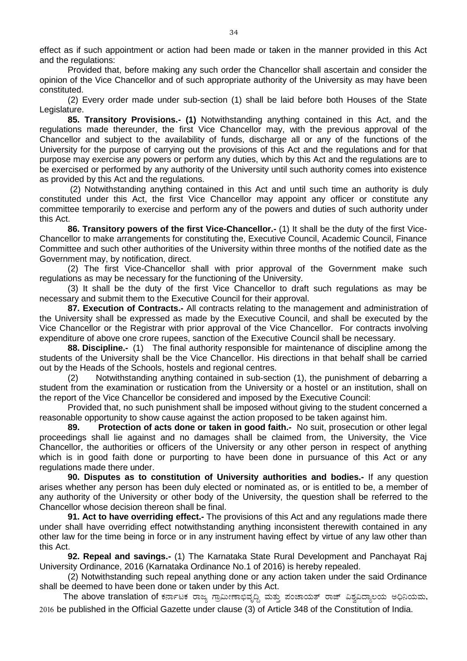effect as if such appointment or action had been made or taken in the manner provided in this Act and the regulations:

Provided that, before making any such order the Chancellor shall ascertain and consider the opinion of the Vice Chancellor and of such appropriate authority of the University as may have been constituted.

(2) Every order made under sub-section (1) shall be laid before both Houses of the State Legislature.

<span id="page-33-0"></span>**85. Transitory Provisions.- (1)** Notwithstanding anything contained in this Act, and the regulations made thereunder, the first Vice Chancellor may, with the previous approval of the Chancellor and subject to the availability of funds, discharge all or any of the functions of the University for the purpose of carrying out the provisions of this Act and the regulations and for that purpose may exercise any powers or perform any duties, which by this Act and the regulations are to be exercised or performed by any authority of the University until such authority comes into existence as provided by this Act and the regulations.

(2) Notwithstanding anything contained in this Act and until such time an authority is duly constituted under this Act, the first Vice Chancellor may appoint any officer or constitute any committee temporarily to exercise and perform any of the powers and duties of such authority under this Act.

<span id="page-33-1"></span>**86. Transitory powers of the first Vice-Chancellor.-** (1) It shall be the duty of the first Vice-Chancellor to make arrangements for constituting the, Executive Council, Academic Council, Finance Committee and such other authorities of the University within three months of the notified date as the Government may, by notification, direct.

(2) The first Vice-Chancellor shall with prior approval of the Government make such regulations as may be necessary for the functioning of the University.

(3) It shall be the duty of the first Vice Chancellor to draft such regulations as may be necessary and submit them to the Executive Council for their approval.

<span id="page-33-2"></span>**87. Execution of Contracts.-** All contracts relating to the management and administration of the University shall be expressed as made by the Executive Council, and shall be executed by the Vice Chancellor or the Registrar with prior approval of the Vice Chancellor. For contracts involving expenditure of above one crore rupees, sanction of the Executive Council shall be necessary.

<span id="page-33-3"></span>**88. Discipline.-** (1) The final authority responsible for maintenance of discipline among the students of the University shall be the Vice Chancellor. His directions in that behalf shall be carried out by the Heads of the Schools, hostels and regional centres.

(2) Notwithstanding anything contained in sub-section (1), the punishment of debarring a student from the examination or rustication from the University or a hostel or an institution, shall on the report of the Vice Chancellor be considered and imposed by the Executive Council:

Provided that, no such punishment shall be imposed without giving to the student concerned a reasonable opportunity to show cause against the action proposed to be taken against him.

<span id="page-33-4"></span>**89. Protection of acts done or taken in good faith.-** No suit, prosecution or other legal proceedings shall lie against and no damages shall be claimed from, the University, the Vice Chancellor, the authorities or officers of the University or any other person in respect of anything which is in good faith done or purporting to have been done in pursuance of this Act or any regulations made there under.

<span id="page-33-5"></span>**90. Disputes as to constitution of University authorities and bodies.-** If any question arises whether any person has been duly elected or nominated as, or is entitled to be, a member of any authority of the University or other body of the University, the question shall be referred to the Chancellor whose decision thereon shall be final.

<span id="page-33-6"></span>**91. Act to have overriding effect.-** The provisions of this Act and any regulations made there under shall have overriding effect notwithstanding anything inconsistent therewith contained in any other law for the time being in force or in any instrument having effect by virtue of any law other than this Act.

<span id="page-33-7"></span>**92. Repeal and savings.-** (1) The Karnataka State Rural Development and Panchayat Raj University Ordinance, 2016 (Karnataka Ordinance No.1 of 2016) is hereby repealed.

(2) Notwithstanding such repeal anything done or any action taken under the said Ordinance shall be deemed to have been done or taken under by this Act.

The above translation of ಕರ್ನಾಟಕ ರಾಜ್ಯ ಗ್ರಾಮೀಣಾಭಿವೃದ್ಧಿ ಮತ್ತು ಪಂಚಾಯತ್ ರಾಜ್ ವಿಶ್ವವಿದ್ಯಾಲಯ ಅಧಿನಿಯಮ, 2016 be published in the Official Gazette under clause (3) of Article 348 of the Constitution of India.